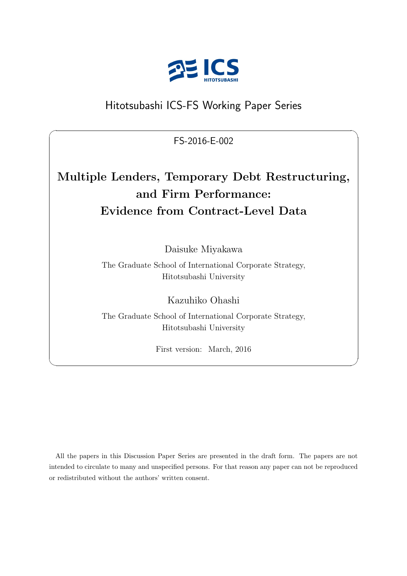

## Hitotsubashi ICS-FS Working Paper Series

FS-2016-E-002

 $\sqrt{2\pi}$ 

# **Multiple Lenders, Temporary Debt Restructuring, and Firm Performance: Evidence from Contract-Level Data**

Daisuke Miyakawa

The Graduate School of International Corporate Strategy, Hitotsubashi University

Kazuhiko Ohashi

The Graduate School of International Corporate Strategy, Hitotsubashi University

First version: March, 2016

✒ ✑

All the papers in this Discussion Paper Series are presented in the draft form. The papers are not intended to circulate to many and unspecified persons. For that reason any paper can not be reproduced or redistributed without the authors' written consent.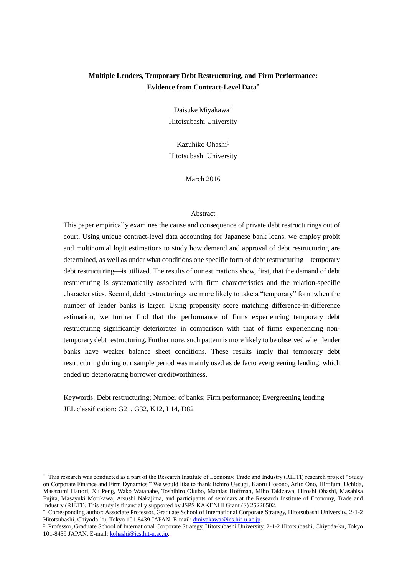### **Multiple Lenders, Temporary Debt Restructuring, and Firm Performance: Evidence from Contract-Level Data\***

Daisuke Miyakawa† Hitotsubashi University

Kazuhiko Ohashi‡ Hitotsubashi University

March 2016

#### Abstract

This paper empirically examines the cause and consequence of private debt restructurings out of court. Using unique contract-level data accounting for Japanese bank loans, we employ probit and multinomial logit estimations to study how demand and approval of debt restructuring are determined, as well as under what conditions one specific form of debt restructuring—temporary debt restructuring—is utilized. The results of our estimations show, first, that the demand of debt restructuring is systematically associated with firm characteristics and the relation-specific characteristics. Second, debt restructurings are more likely to take a "temporary" form when the number of lender banks is larger. Using propensity score matching difference-in-difference estimation, we further find that the performance of firms experiencing temporary debt restructuring significantly deteriorates in comparison with that of firms experiencing nontemporary debt restructuring. Furthermore, such pattern is more likely to be observed when lender banks have weaker balance sheet conditions. These results imply that temporary debt restructuring during our sample period was mainly used as de facto evergreening lending, which ended up deteriorating borrower creditworthiness.

Keywords: Debt restructuring; Number of banks; Firm performance; Evergreening lending JEL classification: G21, G32, K12, L14, D82

 $\overline{a}$ 

<sup>\*</sup> This research was conducted as a part of the Research Institute of Economy, Trade and Industry (RIETI) research project "Study on Corporate Finance and Firm Dynamics." We would like to thank Iichiro Uesugi, Kaoru Hosono, Arito Ono, Hirofumi Uchida, Masazumi Hattori, Xu Peng, Wako Watanabe, Toshihiro Okubo, Mathias Hoffman, Miho Takizawa, Hiroshi Ohashi, Masahisa Fujita, Masayuki Morikawa, Atsushi Nakajima, and participants of seminars at the Research Institute of Economy, Trade and Industry (RIETI). This study is financially supported by JSPS KAKENHI Grant (S) 25220502.

<sup>†</sup> Corresponding author: Associate Professor, Graduate School of International Corporate Strategy, Hitotsubashi University, 2-1-2 Hitotsubashi, Chiyoda-ku, Tokyo 101-8439 JAPAN. E-mail[: dmiyakawa@ics.hit-u.ac.jp.](mailto:dmiyakawa@ics.hit-u.ac.jp)

<sup>‡</sup> Professor, Graduate School of International Corporate Strategy, Hitotsubashi University, 2-1-2 Hitotsubashi, Chiyoda-ku, Tokyo 101-8439 JAPAN. E-mail[: kohashi@ics.hit-u.ac.jp.](mailto:kohashi@ics.hit-u.ac.jp)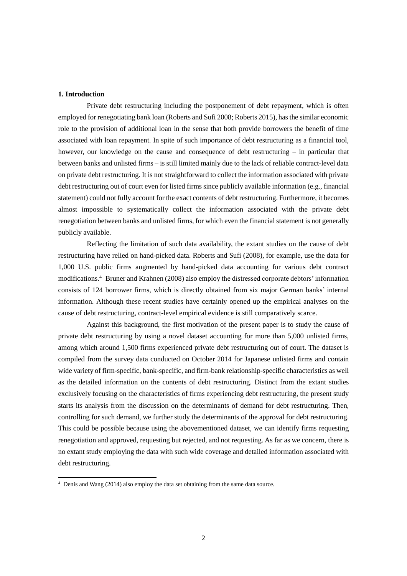#### **1. Introduction**

-

Private debt restructuring including the postponement of debt repayment, which is often employed for renegotiating bank loan (Roberts and Sufi 2008; Roberts 2015), has the similar economic role to the provision of additional loan in the sense that both provide borrowers the benefit of time associated with loan repayment. In spite of such importance of debt restructuring as a financial tool, however, our knowledge on the cause and consequence of debt restructuring – in particular that between banks and unlisted firms – is still limited mainly due to the lack of reliable contract-level data on private debt restructuring. It is not straightforward to collect the information associated with private debt restructuring out of court even for listed firms since publicly available information (e.g., financial statement) could not fully account for the exact contents of debt restructuring. Furthermore, it becomes almost impossible to systematically collect the information associated with the private debt renegotiation between banks and unlisted firms, for which even the financial statement is not generally publicly available.

Reflecting the limitation of such data availability, the extant studies on the cause of debt restructuring have relied on hand-picked data. Roberts and Sufi (2008), for example, use the data for 1,000 U.S. public firms augmented by hand-picked data accounting for various debt contract modifications. <sup>4</sup> Bruner and Krahnen (2008) also employ the distressed corporate debtors' information consists of 124 borrower firms, which is directly obtained from six major German banks' internal information. Although these recent studies have certainly opened up the empirical analyses on the cause of debt restructuring, contract-level empirical evidence is still comparatively scarce.

Against this background, the first motivation of the present paper is to study the cause of private debt restructuring by using a novel dataset accounting for more than 5,000 unlisted firms, among which around 1,500 firms experienced private debt restructuring out of court. The dataset is compiled from the survey data conducted on October 2014 for Japanese unlisted firms and contain wide variety of firm-specific, bank-specific, and firm-bank relationship-specific characteristics as well as the detailed information on the contents of debt restructuring. Distinct from the extant studies exclusively focusing on the characteristics of firms experiencing debt restructuring, the present study starts its analysis from the discussion on the determinants of demand for debt restructuring. Then, controlling for such demand, we further study the determinants of the approval for debt restructuring. This could be possible because using the abovementioned dataset, we can identify firms requesting renegotiation and approved, requesting but rejected, and not requesting. As far as we concern, there is no extant study employing the data with such wide coverage and detailed information associated with debt restructuring.

<sup>4</sup> Denis and Wang (2014) also employ the data set obtaining from the same data source.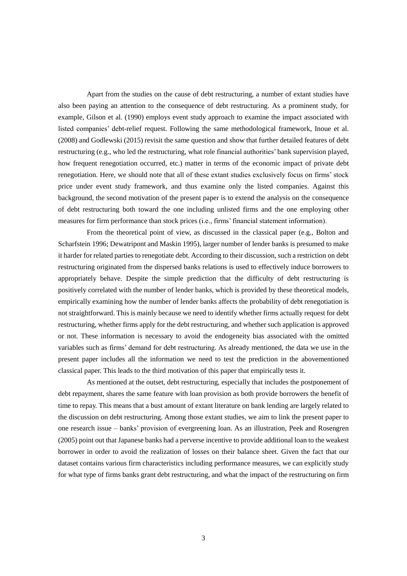Apart from the studies on the cause of debt restructuring, a number of extant studies have also been paying an attention to the consequence of debt restructuring. As a prominent study, for example, Gilson et al. (1990) employs event study approach to examine the impact associated with listed companies' debt-relief request. Following the same methodological framework, Inoue et al. (2008) and Godlewski (2015) revisit the same question and show that further detailed features of debt restructuring (e.g., who led the restructuring, what role financial authorities' bank supervision played, how frequent renegotiation occurred, etc.) matter in terms of the economic impact of private debt renegotiation. Here, we should note that all of these extant studies exclusively focus on firms' stock price under event study framework, and thus examine only the listed companies. Against this background, the second motivation of the present paper is to extend the analysis on the consequence of debt restructuring both toward the one including unlisted firms and the one employing other measures for firm performance than stock prices (i.e., firms' financial statement information).

From the theoretical point of view, as discussed in the classical paper (e.g., Bolton and Scharfstein 1996; Dewatripont and Maskin 1995), larger number of lender banks is presumed to make it harder for related parties to renegotiate debt. According to their discussion, such a restriction on debt restructuring originated from the dispersed banks relations is used to effectively induce borrowers to appropriately behave. Despite the simple prediction that the difficulty of debt restructuring is positively correlated with the number of lender banks, which is provided by these theoretical models, empirically examining how the number of lender banks affects the probability of debt renegotiation is not straightforward. This is mainly because we need to identify whether firms actually request for debt restructuring, whether firms apply for the debt restructuring, and whether such application is approved or not. These information is necessary to avoid the endogeneity bias associated with the omitted variables such as firms' demand for debt restructuring. As already mentioned, the data we use in the present paper includes all the information we need to test the prediction in the abovementioned classical paper. This leads to the third motivation of this paper that empirically tests it.

As mentioned at the outset, debt restructuring, especially that includes the postponement of debt repayment, shares the same feature with loan provision as both provide borrowers the benefit of time to repay. This means that a bust amount of extant literature on bank lending are largely related to the discussion on debt restructuring. Among those extant studies, we aim to link the present paper to one research issue – banks' provision of evergreening loan. As an illustration, Peek and Rosengren (2005) point out that Japanese banks had a perverse incentive to provide additional loan to the weakest borrower in order to avoid the realization of losses on their balance sheet. Given the fact that our dataset contains various firm characteristics including performance measures, we can explicitly study for what type of firms banks grant debt restructuring, and what the impact of the restructuring on firm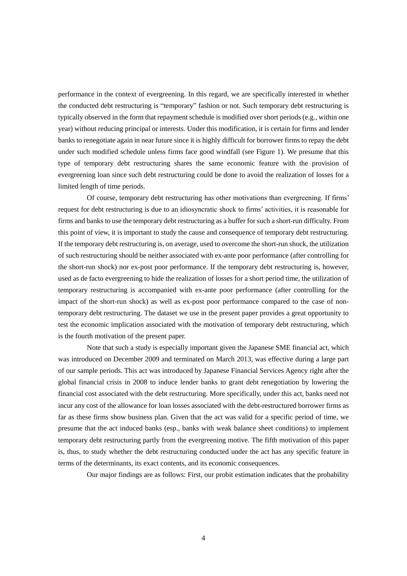performance in the context of evergreening. In this regard, we are specifically interested in whether the conducted debt restructuring is "temporary" fashion or not. Such temporary debt restructuring is typically observed in the form that repayment schedule is modified over short periods (e.g., within one year) without reducing principal or interests. Under this modification, it is certain for firms and lender banks to renegotiate again in near future since it is highly difficult for borrower firms to repay the debt under such modified schedule unless firms face good windfall (see Figure 1). We presume that this type of temporary debt restructuring shares the same economic feature with the provision of evergreening loan since such debt restructuring could be done to avoid the realization of losses for a limited length of time periods.

Of course, temporary debt restructuring has other motivations than evergreening. If firms' request for debt restructuring is due to an idiosyncratic shock to firms' activities, it is reasonable for firms and banks to use the temporary debt restructuring as a buffer for such a short-run difficulty. From this point of view, it is important to study the cause and consequence of temporary debt restructuring. If the temporary debt restructuring is, on average, used to overcome the short-run shock, the utilization of such restructuring should be neither associated with ex-ante poor performance (after controlling for the short-run shock) nor ex-post poor performance. If the temporary debt restructuring is, however, used as de facto evergreening to hide the realization of losses for a short period time, the utilization of temporary restructuring is accompanied with ex-ante poor performance (after controlling for the impact of the short-run shock) as well as ex-post poor performance compared to the case of nontemporary debt restructuring. The dataset we use in the present paper provides a great opportunity to test the economic implication associated with the motivation of temporary debt restructuring, which is the fourth motivation of the present paper.

Note that such a study is especially important given the Japanese SME financial act, which was introduced on December 2009 and terminated on March 2013, was effective during a large part of our sample periods. This act was introduced by Japanese Financial Services Agency right after the global financial crisis in 2008 to induce lender banks to grant debt renegotiation by lowering the financial cost associated with the debt restructuring. More specifically, under this act, banks need not incur any cost of the allowance for loan losses associated with the debt-restructured borrower firms as far as these firms show business plan. Given that the act was valid for a specific period of time, we presume that the act induced banks (esp., banks with weak balance sheet conditions) to implement temporary debt restructuring partly from the evergreening motive. The fifth motivation of this paper is, thus, to study whether the debt restructuring conducted under the act has any specific feature in terms of the determinants, its exact contents, and its economic consequences.

Our major findings are as follows: First, our probit estimation indicates that the probability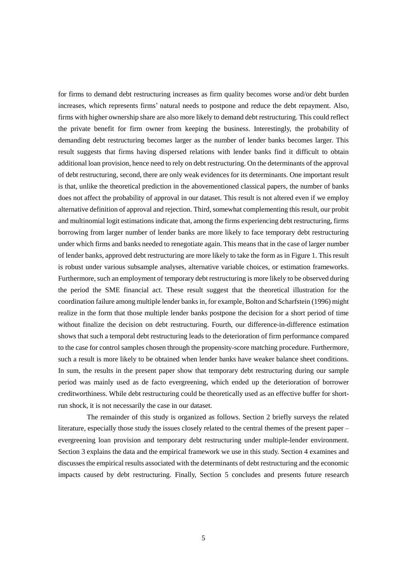for firms to demand debt restructuring increases as firm quality becomes worse and/or debt burden increases, which represents firms' natural needs to postpone and reduce the debt repayment. Also, firms with higher ownership share are also more likely to demand debt restructuring. This could reflect the private benefit for firm owner from keeping the business. Interestingly, the probability of demanding debt restructuring becomes larger as the number of lender banks becomes larger. This result suggests that firms having dispersed relations with lender banks find it difficult to obtain additional loan provision, hence need to rely on debt restructuring. On the determinants of the approval of debt restructuring, second, there are only weak evidences for its determinants. One important result is that, unlike the theoretical prediction in the abovementioned classical papers, the number of banks does not affect the probability of approval in our dataset. This result is not altered even if we employ alternative definition of approval and rejection. Third, somewhat complementing this result, our probit and multinomial logit estimations indicate that, among the firms experiencing debt restructuring, firms borrowing from larger number of lender banks are more likely to face temporary debt restructuring under which firms and banks needed to renegotiate again. This means that in the case of larger number of lender banks, approved debt restructuring are more likely to take the form as in Figure 1. This result is robust under various subsample analyses, alternative variable choices, or estimation frameworks. Furthermore, such an employment of temporary debt restructuring is more likely to be observed during the period the SME financial act. These result suggest that the theoretical illustration for the coordination failure among multiple lender banksin, for example, Bolton and Scharfstein (1996) might realize in the form that those multiple lender banks postpone the decision for a short period of time without finalize the decision on debt restructuring. Fourth, our difference-in-difference estimation shows that such a temporal debt restructuring leads to the deterioration of firm performance compared to the case for control samples chosen through the propensity-score matching procedure. Furthermore, such a result is more likely to be obtained when lender banks have weaker balance sheet conditions. In sum, the results in the present paper show that temporary debt restructuring during our sample period was mainly used as de facto evergreening, which ended up the deterioration of borrower creditworthiness. While debt restructuring could be theoretically used as an effective buffer for shortrun shock, it is not necessarily the case in our dataset.

The remainder of this study is organized as follows. Section 2 briefly surveys the related literature, especially those study the issues closely related to the central themes of the present paper – evergreening loan provision and temporary debt restructuring under multiple-lender environment. Section 3 explains the data and the empirical framework we use in this study. Section 4 examines and discusses the empirical results associated with the determinants of debt restructuring and the economic impacts caused by debt restructuring. Finally, Section 5 concludes and presents future research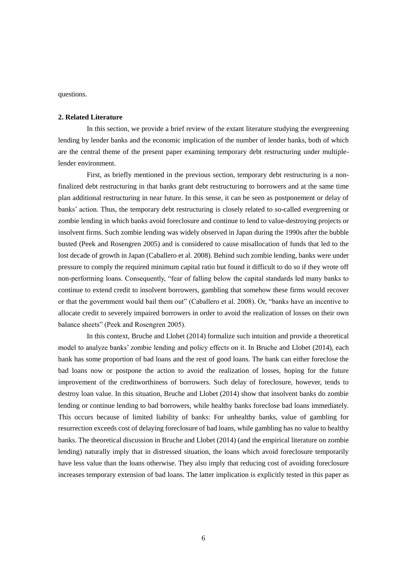questions.

#### **2. Related Literature**

In this section, we provide a brief review of the extant literature studying the evergreening lending by lender banks and the economic implication of the number of lender banks, both of which are the central theme of the present paper examining temporary debt restructuring under multiplelender environment.

First, as briefly mentioned in the previous section, temporary debt restructuring is a nonfinalized debt restructuring in that banks grant debt restructuring to borrowers and at the same time plan additional restructuring in near future. In this sense, it can be seen as postponement or delay of banks' action. Thus, the temporary debt restructuring is closely related to so-called evergreening or zombie lending in which banks avoid foreclosure and continue to lend to value-destroying projects or insolvent firms. Such zombie lending was widely observed in Japan during the 1990s after the bubble busted (Peek and Rosengren 2005) and is considered to cause misallocation of funds that led to the lost decade of growth in Japan (Caballero et al. 2008). Behind such zombie lending, banks were under pressure to comply the required minimum capital ratio but found it difficult to do so if they wrote off non-performing loans. Consequently, "fear of falling below the capital standards led many banks to continue to extend credit to insolvent borrowers, gambling that somehow these firms would recover or that the government would bail them out" (Caballero et al. 2008). Or, "banks have an incentive to allocate credit to severely impaired borrowers in order to avoid the realization of losses on their own balance sheets" (Peek and Rosengren 2005).

In this context, Bruche and Llobet (2014) formalize such intuition and provide a theoretical model to analyze banks' zombie lending and policy effects on it. In Bruche and Llobet (2014), each bank has some proportion of bad loans and the rest of good loans. The bank can either foreclose the bad loans now or postpone the action to avoid the realization of losses, hoping for the future improvement of the creditworthiness of borrowers. Such delay of foreclosure, however, tends to destroy loan value. In this situation, Bruche and Llobet (2014) show that insolvent banks do zombie lending or continue lending to bad borrowers, while healthy banks foreclose bad loans immediately. This occurs because of limited liability of banks: For unhealthy banks, value of gambling for resurrection exceeds cost of delaying foreclosure of bad loans, while gambling has no value to healthy banks. The theoretical discussion in Bruche and Llobet (2014) (and the empirical literature on zombie lending) naturally imply that in distressed situation, the loans which avoid foreclosure temporarily have less value than the loans otherwise. They also imply that reducing cost of avoiding foreclosure increases temporary extension of bad loans. The latter implication is explicitly tested in this paper as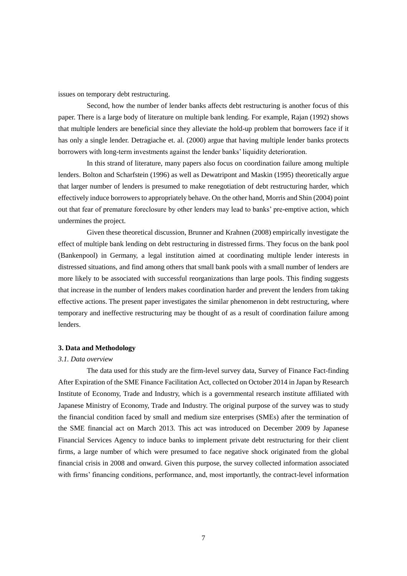issues on temporary debt restructuring.

Second, how the number of lender banks affects debt restructuring is another focus of this paper. There is a large body of literature on multiple bank lending. For example, Rajan (1992) shows that multiple lenders are beneficial since they alleviate the hold-up problem that borrowers face if it has only a single lender. Detragiache et. al. (2000) argue that having multiple lender banks protects borrowers with long-term investments against the lender banks' liquidity deterioration.

In this strand of literature, many papers also focus on coordination failure among multiple lenders. Bolton and Scharfstein (1996) as well as Dewatripont and Maskin (1995) theoretically argue that larger number of lenders is presumed to make renegotiation of debt restructuring harder, which effectively induce borrowers to appropriately behave. On the other hand, Morris and Shin (2004) point out that fear of premature foreclosure by other lenders may lead to banks' pre-emptive action, which undermines the project.

Given these theoretical discussion, Brunner and Krahnen (2008) empirically investigate the effect of multiple bank lending on debt restructuring in distressed firms. They focus on the bank pool (Bankenpool) in Germany, a legal institution aimed at coordinating multiple lender interests in distressed situations, and find among others that small bank pools with a small number of lenders are more likely to be associated with successful reorganizations than large pools. This finding suggests that increase in the number of lenders makes coordination harder and prevent the lenders from taking effective actions. The present paper investigates the similar phenomenon in debt restructuring, where temporary and ineffective restructuring may be thought of as a result of coordination failure among lenders.

#### **3. Data and Methodology**

#### *3.1. Data overview*

The data used for this study are the firm-level survey data, Survey of Finance Fact-finding After Expiration of the SME Finance Facilitation Act, collected on October 2014 in Japan by Research Institute of Economy, Trade and Industry, which is a governmental research institute affiliated with Japanese Ministry of Economy, Trade and Industry. The original purpose of the survey was to study the financial condition faced by small and medium size enterprises (SMEs) after the termination of the SME financial act on March 2013. This act was introduced on December 2009 by Japanese Financial Services Agency to induce banks to implement private debt restructuring for their client firms, a large number of which were presumed to face negative shock originated from the global financial crisis in 2008 and onward. Given this purpose, the survey collected information associated with firms' financing conditions, performance, and, most importantly, the contract-level information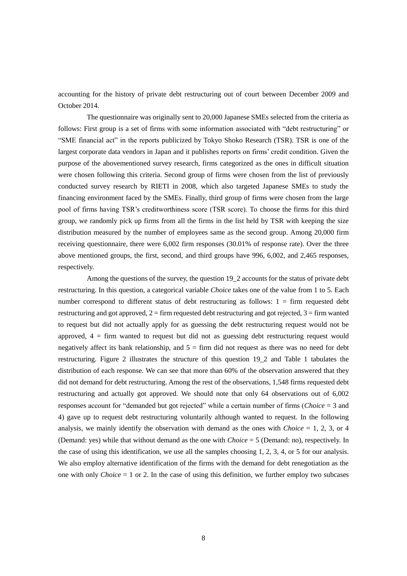accounting for the history of private debt restructuring out of court between December 2009 and October 2014.

The questionnaire was originally sent to 20,000 Japanese SMEs selected from the criteria as follows: First group is a set of firms with some information associated with "debt restructuring" or "SME financial act" in the reports publicized by Tokyo Shoko Research (TSR). TSR is one of the largest corporate data vendors in Japan and it publishes reports on firms' credit condition. Given the purpose of the abovementioned survey research, firms categorized as the ones in difficult situation were chosen following this criteria. Second group of firms were chosen from the list of previously conducted survey research by RIETI in 2008, which also targeted Japanese SMEs to study the financing environment faced by the SMEs. Finally, third group of firms were chosen from the large pool of firms having TSR's creditworthiness score (TSR score). To choose the firms for this third group, we randomly pick up firms from all the firms in the list held by TSR with keeping the size distribution measured by the number of employees same as the second group. Among 20,000 firm receiving questionnaire, there were 6,002 firm responses (30.01% of response rate). Over the three above mentioned groups, the first, second, and third groups have 996, 6,002, and 2,465 responses, respectively.

Among the questions of the survey, the question 19\_2 accounts for the status of private debt restructuring. In this question, a categorical variable *Choice* takes one of the value from 1 to 5. Each number correspond to different status of debt restructuring as follows: 1 = firm requested debt restructuring and got approved,  $2 =$  firm requested debt restructuring and got rejected,  $3 =$  firm wanted to request but did not actually apply for as guessing the debt restructuring request would not be approved,  $4 =$  firm wanted to request but did not as guessing debt restructuring request would negatively affect its bank relationship, and  $5 =$  firm did not request as there was no need for debt restructuring. Figure 2 illustrates the structure of this question 19\_2 and Table 1 tabulates the distribution of each response. We can see that more than 60% of the observation answered that they did not demand for debt restructuring. Among the rest of the observations, 1,548 firms requested debt restructuring and actually got approved. We should note that only 64 observations out of 6,002 responses account for "demanded but got rejected" while a certain number of firms (*Choice* = 3 and 4) gave up to request debt restructuring voluntarily although wanted to request. In the following analysis, we mainly identify the observation with demand as the ones with *Choice*  $= 1, 2, 3$ , or 4 (Demand: yes) while that without demand as the one with *Choice* = 5 (Demand: no), respectively. In the case of using this identification, we use all the samples choosing 1, 2, 3, 4, or 5 for our analysis. We also employ alternative identification of the firms with the demand for debt renegotiation as the one with only *Choice*  $= 1$  or 2. In the case of using this definition, we further employ two subcases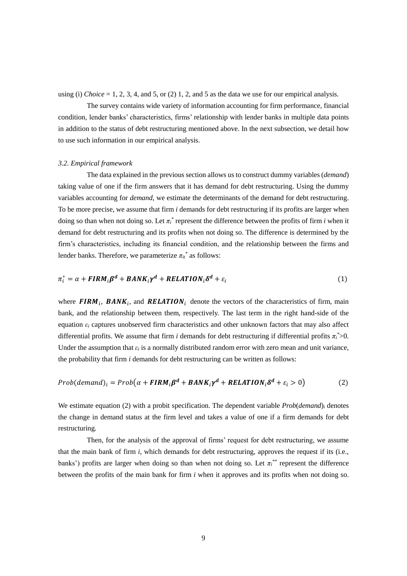using (i) *Choice* = 1, 2, 3, 4, and 5, or (2) 1, 2, and 5 as the data we use for our empirical analysis.

The survey contains wide variety of information accounting for firm performance, financial condition, lender banks' characteristics, firms' relationship with lender banks in multiple data points in addition to the status of debt restructuring mentioned above. In the next subsection, we detail how to use such information in our empirical analysis.

#### *3.2. Empirical framework*

The data explained in the previous section allows us to construct dummy variables (*demand*) taking value of one if the firm answers that it has demand for debt restructuring. Using the dummy variables accounting for *demand*, we estimate the determinants of the demand for debt restructuring. To be more precise, we assume that firm *i* demands for debt restructuring if its profits are larger when doing so than when not doing so. Let  $\pi$ <sup>\*</sup> represent the difference between the profits of firm *i* when it demand for debt restructuring and its profits when not doing so. The difference is determined by the firm's characteristics, including its financial condition, and the relationship between the firms and lender banks. Therefore, we parameterize  $\pi_{it}^{*}$  as follows:

$$
\pi_i^* = \alpha + \mathbf{FIRM}_i \beta^d + \mathbf{BANK}_i \gamma^d + \mathbf{RELATION}_i \delta^d + \varepsilon_i
$$
\n(1)

where **FIRM**<sub>i</sub>, **BANK**<sub>i</sub>, and **RELATION**<sub>i</sub> denote the vectors of the characteristics of firm, main bank, and the relationship between them, respectively. The last term in the right hand-side of the equation *ε<sup>i</sup>* captures unobserved firm characteristics and other unknown factors that may also affect differential profits. We assume that firm *i* demands for debt restructuring if differential profits  $\pi_i^*$  > 0. Under the assumption that  $\varepsilon_i$  is a normally distributed random error with zero mean and unit variance, the probability that firm *i* demands for debt restructuring can be written as follows:

$$
Prob(demand)_i = Prob(\alpha + FIRM_i\beta^d + BANK_i\gamma^d + RELATION_i\delta^d + \varepsilon_i > 0)
$$
 (2)

We estimate equation (2) with a probit specification. The dependent variable *Prob*(*demand*)*<sup>i</sup>* denotes the change in demand status at the firm level and takes a value of one if a firm demands for debt restructuring*.*

Then, for the analysis of the approval of firms' request for debt restructuring, we assume that the main bank of firm *i*, which demands for debt restructuring, approves the request if its (i.e., banks') profits are larger when doing so than when not doing so. Let  $\pi_i^{**}$  represent the difference between the profits of the main bank for firm *i* when it approves and its profits when not doing so.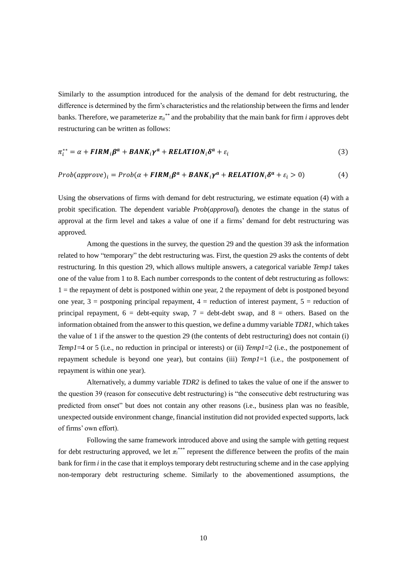Similarly to the assumption introduced for the analysis of the demand for debt restructuring, the difference is determined by the firm's characteristics and the relationship between the firms and lender banks. Therefore, we parameterize  $\pi_{it}^{**}$  and the probability that the main bank for firm *i* approves debt restructuring can be written as follows:

$$
\pi_i^{**} = \alpha + FIRM_i \beta^a + BANK_i \gamma^a + RELATION_i \delta^a + \varepsilon_i \tag{3}
$$

$$
Prob(approve)_i = Prob(\alpha + FIRM_i\beta^a + BANK_i\gamma^a + RELATION_i\delta^a + \varepsilon_i > 0)
$$
\n(4)

Using the observations of firms with demand for debt restructuring, we estimate equation (4) with a probit specification. The dependent variable *Prob*(*approval*)*<sup>i</sup>* denotes the change in the status of approval at the firm level and takes a value of one if a firms' demand for debt restructuring was approved*.*

Among the questions in the survey, the question 29 and the question 39 ask the information related to how "temporary" the debt restructuring was. First, the question 29 asks the contents of debt restructuring. In this question 29, which allows multiple answers, a categorical variable *Temp1* takes one of the value from 1 to 8. Each number corresponds to the content of debt restructuring as follows:  $1 =$  the repayment of debt is postponed within one year, 2 the repayment of debt is postponed beyond one year,  $3 =$  postponing principal repayment,  $4 =$  reduction of interest payment,  $5 =$  reduction of principal repayment,  $6 =$  debt-equity swap,  $7 =$  debt-debt swap, and  $8 =$  others. Based on the information obtained from the answer to this question, we define a dummy variable *TDR1*, which takes the value of 1 if the answer to the question 29 (the contents of debt restructuring) does not contain (i) *Temp1*=4 or 5 (i.e., no reduction in principal or interests) or (ii) *Temp1*=2 (i.e., the postponement of repayment schedule is beyond one year), but contains (iii) *Temp1*=1 (i.e., the postponement of repayment is within one year).

Alternatively, a dummy variable *TDR2* is defined to takes the value of one if the answer to the question 39 (reason for consecutive debt restructuring) is "the consecutive debt restructuring was predicted from onset" but does not contain any other reasons (i.e., business plan was no feasible, unexpected outside environment change, financial institution did not provided expected supports, lack of firms' own effort).

Following the same framework introduced above and using the sample with getting request for debt restructuring approved, we let  $\pi_i^{***}$  represent the difference between the profits of the main bank for firm *i* in the case that it employs temporary debt restructuring scheme and in the case applying non-temporary debt restructuring scheme. Similarly to the abovementioned assumptions, the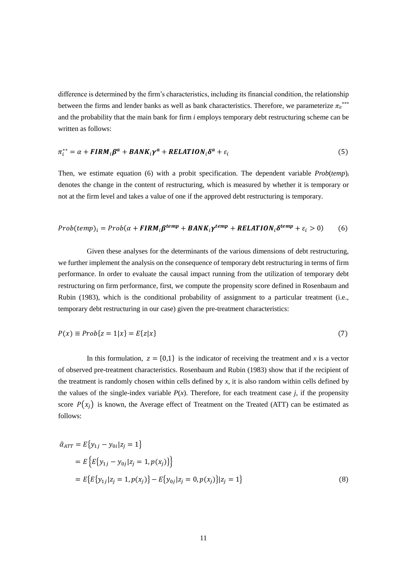difference is determined by the firm's characteristics, including its financial condition, the relationship between the firms and lender banks as well as bank characteristics. Therefore, we parameterize  $\pi_{it}^{***}$ and the probability that the main bank for firm *i* employs temporary debt restructuring scheme can be written as follows:

$$
\pi_i^{**} = \alpha + FIRM_i\beta^a + BANK_i\gamma^a + RELATION_i\delta^a + \varepsilon_i
$$
\n(5)

Then, we estimate equation (6) with a probit specification. The dependent variable  $Prob(temp)$ *i* denotes the change in the content of restructuring, which is measured by whether it is temporary or not at the firm level and takes a value of one if the approved debt restructuring is temporary*.*

$$
Prob(temp)_i = Prob(\alpha + FIRM_i \beta^{temp} + BANK_i \gamma^{temp} + RELATION_i \delta^{temp} + \varepsilon_i > 0)
$$
 (6)

Given these analyses for the determinants of the various dimensions of debt restructuring, we further implement the analysis on the consequence of temporary debt restructuring in terms of firm performance. In order to evaluate the causal impact running from the utilization of temporary debt restructuring on firm performance, first, we compute the propensity score defined in Rosenbaum and Rubin (1983), which is the conditional probability of assignment to a particular treatment (i.e., temporary debt restructuring in our case) given the pre-treatment characteristics:

$$
P(x) \equiv Prob\{z = 1|x\} = E\{z|x\}
$$
\n<sup>(7)</sup>

In this formulation,  $z = \{0,1\}$  is the indicator of receiving the treatment and x is a vector of observed pre-treatment characteristics. Rosenbaum and Rubin (1983) show that if the recipient of the treatment is randomly chosen within cells defined by *x*, it is also random within cells defined by the values of the single-index variable  $P(x)$ . Therefore, for each treatment case *j*, if the propensity score  $P(x_i)$  is known, the Average effect of Treatment on the Treated (ATT) can be estimated as follows:

$$
\hat{\alpha}_{ATT} = E\{y_{1j} - y_{0i}|z_j = 1\}
$$
  
=  $E\{E\{y_{1j} - y_{0j}|z_j = 1, p(x_j)\}\}\$   
=  $E\{E\{y_{1j}|z_j = 1, p(x_j)\} - E\{y_{0j}|z_j = 0, p(x_j)\}|z_j = 1\}$  (8)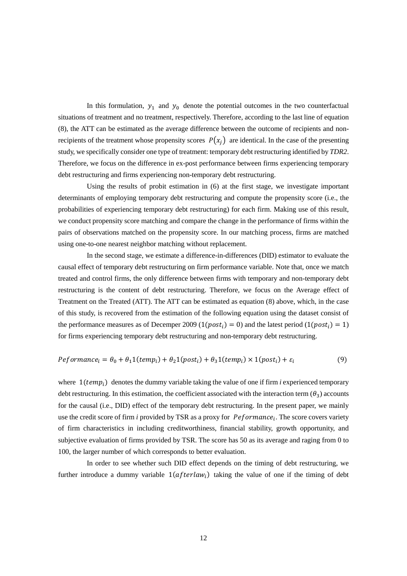In this formulation,  $y_1$  and  $y_0$  denote the potential outcomes in the two counterfactual situations of treatment and no treatment, respectively. Therefore, according to the last line of equation (8), the ATT can be estimated as the average difference between the outcome of recipients and nonrecipients of the treatment whose propensity scores  $P(x_i)$  are identical. In the case of the presenting study, we specifically consider one type of treatment: temporary debt restructuring identified by *TDR2*. Therefore, we focus on the difference in ex-post performance between firms experiencing temporary debt restructuring and firms experiencing non-temporary debt restructuring.

Using the results of probit estimation in (6) at the first stage, we investigate important determinants of employing temporary debt restructuring and compute the propensity score (i.e., the probabilities of experiencing temporary debt restructuring) for each firm. Making use of this result, we conduct propensity score matching and compare the change in the performance of firms within the pairs of observations matched on the propensity score. In our matching process, firms are matched using one-to-one nearest neighbor matching without replacement.

In the second stage, we estimate a difference-in-differences (DID) estimator to evaluate the causal effect of temporary debt restructuring on firm performance variable. Note that, once we match treated and control firms, the only difference between firms with temporary and non-temporary debt restructuring is the content of debt restructuring. Therefore, we focus on the Average effect of Treatment on the Treated (ATT). The ATT can be estimated as equation (8) above, which, in the case of this study, is recovered from the estimation of the following equation using the dataset consist of the performance measures as of Decemper 2009 ( $1(post_i) = 0$ ) and the latest period ( $1(post_i) = 1$ ) for firms experiencing temporary debt restructuring and non-temporary debt restructuring.

$$
Peformance_i = \theta_0 + \theta_1 1(temp_i) + \theta_2 1(post_i) + \theta_3 1(temp_i) \times 1(post_i) + \varepsilon_i
$$
\n(9)

where  $1$ ( $temp<sub>i</sub>$ ) denotes the dummy variable taking the value of one if firm *i* experienced temporary debt restructuring. In this estimation, the coefficient associated with the interaction term  $(\theta_3)$  accounts for the causal (i.e., DID) effect of the temporary debt restructuring. In the present paper, we mainly use the credit score of firm  $i$  provided by TSR as a proxy for  $\text{Performance}_{i}$ . The score covers variety of firm characteristics in including creditworthiness, financial stability, growth opportunity, and subjective evaluation of firms provided by TSR. The score has 50 as its average and raging from 0 to 100, the larger number of which corresponds to better evaluation.

In order to see whether such DID effect depends on the timing of debt restructuring, we further introduce a dummy variable  $1(afterlaw_i)$  taking the value of one if the timing of debt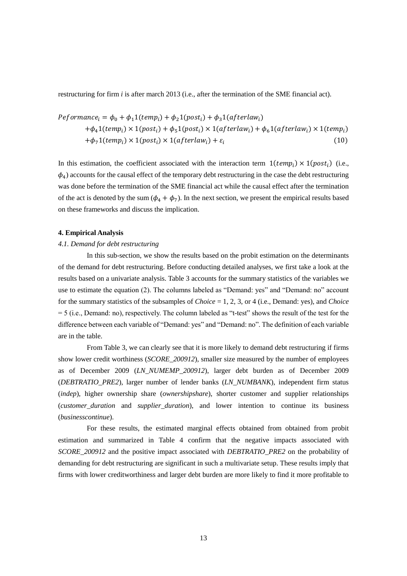restructuring for firm *i* is after march 2013 (i.e., after the termination of the SME financial act).

$$
Peformance_i = \phi_0 + \phi_1 1(temp_i) + \phi_2 1(post_i) + \phi_3 1(afterlaw_i)
$$
  
+
$$
\phi_4 1(temp_i) \times 1(post_i) + \phi_5 1(post_i) \times 1(afterlaw_i) + \phi_6 1(afterlaw_i) \times 1(temp_i)
$$
  
+
$$
\phi_7 1(temp_i) \times 1(post_i) \times 1(afterlaw_i) + \varepsilon_i
$$
 (10)

In this estimation, the coefficient associated with the interaction term  $1$ ( $temp<sub>i</sub>$ )  $\times$  1( $post<sub>i</sub>$ ) (i.e.,  $\phi_4$ ) accounts for the causal effect of the temporary debt restructuring in the case the debt restructuring was done before the termination of the SME financial act while the causal effect after the termination of the act is denoted by the sum  $(\phi_4 + \phi_7)$ . In the next section, we present the empirical results based on these frameworks and discuss the implication.

#### **4. Empirical Analysis**

#### *4.1. Demand for debt restructuring*

In this sub-section, we show the results based on the probit estimation on the determinants of the demand for debt restructuring. Before conducting detailed analyses, we first take a look at the results based on a univariate analysis. Table 3 accounts for the summary statistics of the variables we use to estimate the equation (2). The columns labeled as "Demand: yes" and "Demand: no" account for the summary statistics of the subsamples of *Choice* = 1, 2, 3, or 4 (i.e., Demand: yes), and *Choice* = 5 (i.e., Demand: no), respectively. The column labeled as "t-test" shows the result of the test for the difference between each variable of "Demand: yes" and "Demand: no". The definition of each variable are in the table.

From Table 3, we can clearly see that it is more likely to demand debt restructuring if firms show lower credit worthiness (*SCORE\_200912*), smaller size measured by the number of employees as of December 2009 (*LN\_NUMEMP\_200912*), larger debt burden as of December 2009 (*DEBTRATIO\_PRE2*), larger number of lender banks (*LN\_NUMBANK*), independent firm status (*indep*), higher ownership share (*ownershipshare*), shorter customer and supplier relationships (*customer\_duration* and *supplier\_duration*), and lower intention to continue its business (*businesscontinue*).

For these results, the estimated marginal effects obtained from obtained from probit estimation and summarized in Table 4 confirm that the negative impacts associated with *SCORE\_200912* and the positive impact associated with *DEBTRATIO\_PRE2* on the probability of demanding for debt restructuring are significant in such a multivariate setup. These results imply that firms with lower creditworthiness and larger debt burden are more likely to find it more profitable to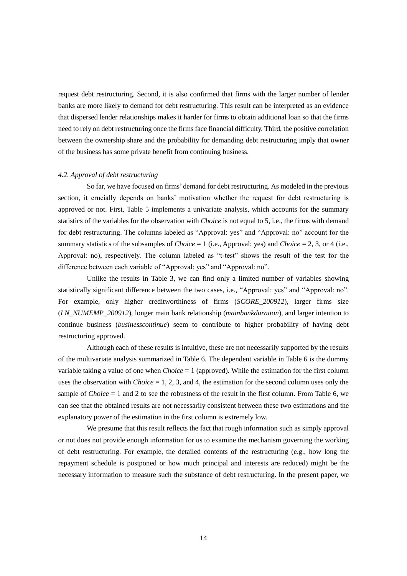request debt restructuring. Second, it is also confirmed that firms with the larger number of lender banks are more likely to demand for debt restructuring. This result can be interpreted as an evidence that dispersed lender relationships makes it harder for firms to obtain additional loan so that the firms need to rely on debt restructuring once the firms face financial difficulty. Third, the positive correlation between the ownership share and the probability for demanding debt restructuring imply that owner of the business has some private benefit from continuing business.

#### *4.2. Approval of debt restructuring*

So far, we have focused on firms' demand for debt restructuring. As modeled in the previous section, it crucially depends on banks' motivation whether the request for debt restructuring is approved or not. First, Table 5 implements a univariate analysis, which accounts for the summary statistics of the variables for the observation with *Choice* is not equal to 5, i.e., the firms with demand for debt restructuring. The columns labeled as "Approval: yes" and "Approval: no" account for the summary statistics of the subsamples of *Choice* = 1 (i.e., Approval: yes) and *Choice* = 2, 3, or 4 (i.e., Approval: no), respectively. The column labeled as "t-test" shows the result of the test for the difference between each variable of "Approval: yes" and "Approval: no".

Unlike the results in Table 3, we can find only a limited number of variables showing statistically significant difference between the two cases, i.e., "Approval: yes" and "Approval: no". For example, only higher creditworthiness of firms (*SCORE\_200912*), larger firms size (*LN\_NUMEMP\_200912*), longer main bank relationship (*mainbankduraiton*), and larger intention to continue business (*businesscontinue*) seem to contribute to higher probability of having debt restructuring approved.

Although each of these results is intuitive, these are not necessarily supported by the results of the multivariate analysis summarized in Table 6. The dependent variable in Table 6 is the dummy variable taking a value of one when *Choice* = 1 (approved). While the estimation for the first column uses the observation with *Choice*  $= 1, 2, 3$ , and 4, the estimation for the second column uses only the sample of *Choice*  $= 1$  and 2 to see the robustness of the result in the first column. From Table 6, we can see that the obtained results are not necessarily consistent between these two estimations and the explanatory power of the estimation in the first column is extremely low.

We presume that this result reflects the fact that rough information such as simply approval or not does not provide enough information for us to examine the mechanism governing the working of debt restructuring. For example, the detailed contents of the restructuring (e.g., how long the repayment schedule is postponed or how much principal and interests are reduced) might be the necessary information to measure such the substance of debt restructuring. In the present paper, we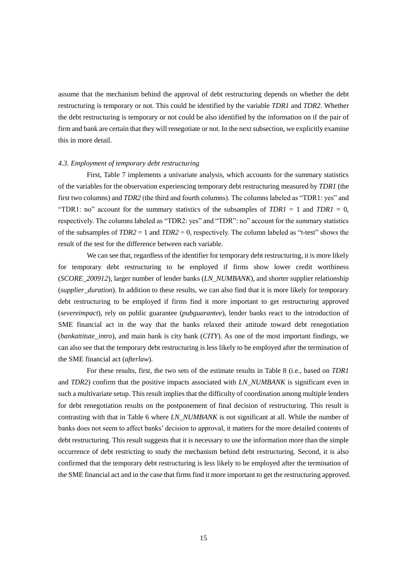assume that the mechanism behind the approval of debt restructuring depends on whether the debt restructuring is temporary or not. This could be identified by the variable *TDR1* and *TDR2*. Whether the debt restructuring is temporary or not could be also identified by the information on if the pair of firm and bank are certain that they will renegotiate or not. In the next subsection, we explicitly examine this in more detail.

#### *4.3. Employment of temporary debt restructuring*

First, Table 7 implements a univariate analysis, which accounts for the summary statistics of the variables for the observation experiencing temporary debt restructuring measured by *TDR1* (the first two columns) and *TDR2* (the third and fourth columns). The columns labeled as "TDR1: yes" and "TDR1: no" account for the summary statistics of the subsamples of  $TDR1 = 1$  and  $TDR1 = 0$ , respectively. The columns labeled as "TDR2: yes" and "TDR": no" account for the summary statistics of the subsamples of *TDR2* = 1 and *TDR2* = 0, respectively. The column labeled as "t-test" shows the result of the test for the difference between each variable.

We can see that, regardless of the identifier for temporary debt restructuring, it is more likely for temporary debt restructuring to be employed if firms show lower credit worthiness (*SCORE\_200912*), larger number of lender banks (*LN\_NUMBANK*), and shorter supplier relationship (*supplier\_duration*). In addition to these results, we can also find that it is more likely for temporary debt restructuring to be employed if firms find it more important to get restructuring approved (*severeimpact*), rely on public guarantee (*pubguarantee*), lender banks react to the introduction of SME financial act in the way that the banks relaxed their attitude toward debt renegotiation (*bankattitute\_intro*), and main bank is city bank (*CITY*). As one of the most important findings, we can also see that the temporary debt restructuring is less likely to be employed after the termination of the SME financial act (*afterlaw*).

For these results, first, the two sets of the estimate results in Table 8 (i.e., based on *TDR1* and *TDR2*) confirm that the positive impacts associated with *LN\_NUMBANK* is significant even in such a multivariate setup. This result implies that the difficulty of coordination among multiple lenders for debt renegotiation results on the postponement of final decision of restructuring. This result is contrasting with that in Table 6 where *LN\_NUMBANK* is not significant at all. While the number of banks does not seem to affect banks' decision to approval, it matters for the more detailed contents of debt restructuring. This result suggests that it is necessary to use the information more than the simple occurrence of debt restricting to study the mechanism behind debt restructuring. Second, it is also confirmed that the temporary debt restructuring is less likely to be employed after the termination of the SME financial act and in the case that firms find it more important to get the restructuring approved.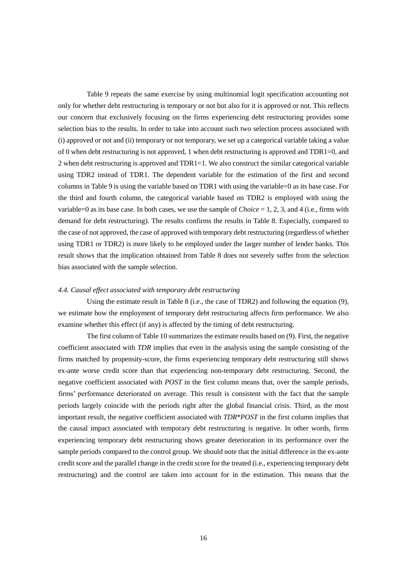Table 9 repeats the same exercise by using multinomial logit specification accounting not only for whether debt restructuring is temporary or not but also for it is approved or not. This reflects our concern that exclusively focusing on the firms experiencing debt restructuring provides some selection bias to the results. In order to take into account such two selection process associated with (i) approved or not and (ii) temporary or not temporary, we set up a categorical variable taking a value of 0 when debt restructuring is not approved, 1 when debt restructuring is approved and TDR1=0, and 2 when debt restructuring is approved and TDR1=1. We also construct the similar categorical variable using TDR2 instead of TDR1. The dependent variable for the estimation of the first and second columns in Table 9 is using the variable based on TDR1 with using the variable=0 as its base case. For the third and fourth column, the categorical variable based on TDR2 is employed with using the variable=0 as its base case. In both cases, we use the sample of *Choice* = 1, 2, 3, and 4 (i.e., firms with demand for debt restructuring). The results confirms the results in Table 8. Especially, compared to the case of not approved, the case of approved with temporary debt restructuring (regardless of whether using TDR1 or TDR2) is more likely to be employed under the larger number of lender banks. This result shows that the implication obtained from Table 8 does not severely suffer from the selection bias associated with the sample selection.

#### *4.4. Causal effect associated with temporary debt restructuring*

Using the estimate result in Table 8 (i.e., the case of TDR2) and following the equation (9), we estimate how the employment of temporary debt restructuring affects firm performance. We also examine whether this effect (if any) is affected by the timing of debt restructuring.

The first column of Table 10 summarizes the estimate results based on (9). First, the negative coefficient associated with *TDR* implies that even in the analysis using the sample consisting of the firms matched by propensity-score, the firms experiencing temporary debt restructuring still shows ex-ante worse credit score than that experiencing non-temporary debt restructuring. Second, the negative coefficient associated with *POST* in the first column means that, over the sample periods, firms' performance deteriorated on average. This result is consistent with the fact that the sample periods largely coincide with the periods right after the global financial crisis. Third, as the most important result, the negative coefficient associated with *TDR*\**POST* in the first column implies that the causal impact associated with temporary debt restructuring is negative. In other words, firms experiencing temporary debt restructuring shows greater deterioration in its performance over the sample periods compared to the control group. We should note that the initial difference in the ex-ante credit score and the parallel change in the credit score for the treated (i.e., experiencing temporary debt restructuring) and the control are taken into account for in the estimation. This means that the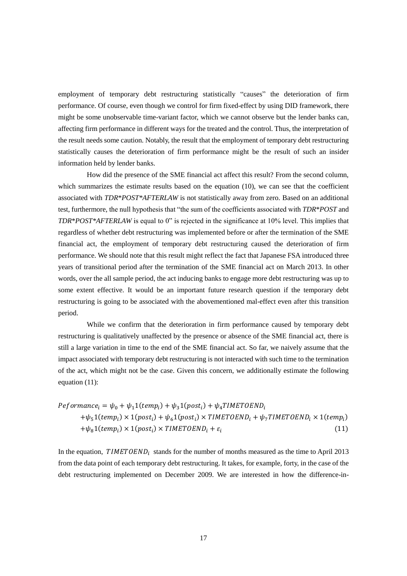employment of temporary debt restructuring statistically "causes" the deterioration of firm performance. Of course, even though we control for firm fixed-effect by using DID framework, there might be some unobservable time-variant factor, which we cannot observe but the lender banks can, affecting firm performance in different ways for the treated and the control. Thus, the interpretation of the result needs some caution. Notably, the result that the employment of temporary debt restructuring statistically causes the deterioration of firm performance might be the result of such an insider information held by lender banks.

How did the presence of the SME financial act affect this result? From the second column, which summarizes the estimate results based on the equation (10), we can see that the coefficient associated with *TDR*\**POST\*AFTERLAW* is not statistically away from zero. Based on an additional test, furthermore, the null hypothesis that "the sum of the coefficients associated with *TDR*\**POST* and *TDR*\**POST\*AFTERLAW* is equal to 0" is rejected in the significance at 10% level. This implies that regardless of whether debt restructuring was implemented before or after the termination of the SME financial act, the employment of temporary debt restructuring caused the deterioration of firm performance. We should note that this result might reflect the fact that Japanese FSA introduced three years of transitional period after the termination of the SME financial act on March 2013. In other words, over the all sample period, the act inducing banks to engage more debt restructuring was up to some extent effective. It would be an important future research question if the temporary debt restructuring is going to be associated with the abovementioned mal-effect even after this transition period.

While we confirm that the deterioration in firm performance caused by temporary debt restructuring is qualitatively unaffected by the presence or absence of the SME financial act, there is still a large variation in time to the end of the SME financial act. So far, we naively assume that the impact associated with temporary debt restructuring is not interacted with such time to the termination of the act, which might not be the case. Given this concern, we additionally estimate the following equation (11):

$$
Peformance_i = \psi_0 + \psi_1 1(temp_i) + \psi_3 1(post_i) + \psi_4 1METOEND_i
$$
  
+
$$
\psi_5 1(temp_i) \times 1(post_i) + \psi_6 1(post_i) \times TIMETOEND_i + \psi_7 1METOEND_i \times 1(temp_i)
$$
  
+
$$
\psi_8 1(temp_i) \times 1(post_i) \times TIMETOEND_i + \varepsilon_i
$$
 (11)

In the equation,  $TIMETOEND<sub>i</sub>$  stands for the number of months measured as the time to April 2013 from the data point of each temporary debt restructuring. It takes, for example, forty, in the case of the debt restructuring implemented on December 2009. We are interested in how the difference-in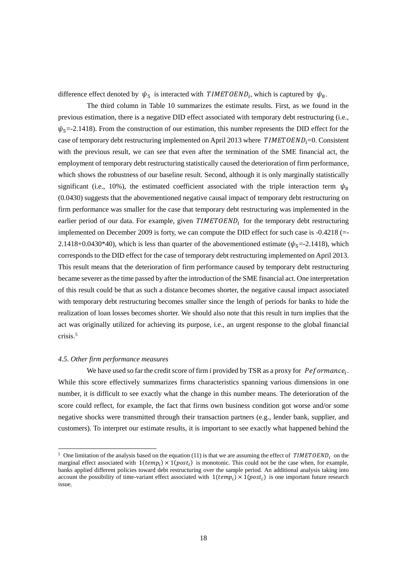difference effect denoted by  $\psi_5$  is interacted with TIMETOEND<sub>i</sub>, which is captured by  $\psi_8$ .

The third column in Table 10 summarizes the estimate results. First, as we found in the previous estimation, there is a negative DID effect associated with temporary debt restructuring (i.e.,  $\psi_5$ =-2.1418). From the construction of our estimation, this number represents the DID effect for the case of temporary debt restructuring implemented on April 2013 where  $TIMETOEND_i=0$ . Consistent with the previous result, we can see that even after the termination of the SME financial act, the employment of temporary debt restructuring statistically caused the deterioration of firm performance, which shows the robustness of our baseline result. Second, although it is only marginally statistically significant (i.e., 10%), the estimated coefficient associated with the triple interaction term  $\psi_8$ (0.0430) suggests that the abovementioned negative causal impact of temporary debt restructuring on firm performance was smaller for the case that temporary debt restructuring was implemented in the earlier period of our data. For example, given  $TIMETOEND<sub>i</sub>$  for the temporary debt restructuring implemented on December 2009 is forty, we can compute the DID effect for such case is -0.4218 (=- 2.1418+0.0430\*40), which is less than quarter of the abovementioned estimate ( $\psi_{5}$ =-2.1418), which corresponds to the DID effect for the case of temporary debt restructuring implemented on April 2013. This result means that the deterioration of firm performance caused by temporary debt restructuring became severer as the time passed by after the introduction of the SME financial act. One interpretation of this result could be that as such a distance becomes shorter, the negative causal impact associated with temporary debt restructuring becomes smaller since the length of periods for banks to hide the realization of loan losses becomes shorter. We should also note that this result in turn implies that the act was originally utilized for achieving its purpose, i.e., an urgent response to the global financial crisis. 5

#### *4.5. Other firm performance measures*

-

We have used so far the credit score of firm *i* provided by TSR as a proxy for *Peformance*<sub>i</sub>. While this score effectively summarizes firms characteristics spanning various dimensions in one number, it is difficult to see exactly what the change in this number means. The deterioration of the score could reflect, for example, the fact that firms own business condition got worse and/or some negative shocks were transmitted through their transaction partners (e.g., lender bank, supplier, and customers). To interpret our estimate results, it is important to see exactly what happened behind the

<sup>&</sup>lt;sup>5</sup> One limitation of the analysis based on the equation (11) is that we are assuming the effect of  $TIMETOEND<sub>i</sub>$  on the marginal effect associated with  $1$ ( $temp_i$ ) ×  $1 (post_i)$  is monotonic. This could not be the case when, for example, banks applied different policies toward debt restructuring over the sample period. An additional analysis taking into account the possibility of time-variant effect associated with  $1$ ( $temp<sub>i</sub>$ ) ×  $1$ ( $post<sub>i</sub>$ ) is one important future research issue.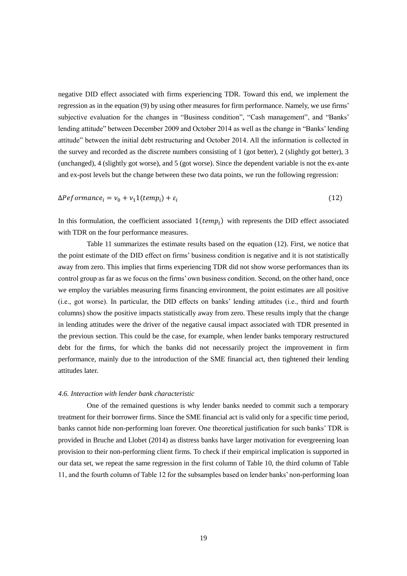negative DID effect associated with firms experiencing TDR. Toward this end, we implement the regression as in the equation (9) by using other measures for firm performance. Namely, we use firms' subjective evaluation for the changes in "Business condition", "Cash management", and "Banks' lending attitude" between December 2009 and October 2014 as well as the change in "Banks' lending attitude" between the initial debt restructuring and October 2014. All the information is collected in the survey and recorded as the discrete numbers consisting of 1 (got better), 2 (slightly got better), 3 (unchanged), 4 (slightly got worse), and 5 (got worse). Since the dependent variable is not the ex-ante and ex-post levels but the change between these two data points, we run the following regression:

$$
\Delta Peformance_i = v_0 + v_1 1(temp_i) + \varepsilon_i \tag{12}
$$

In this formulation, the coefficient associated  $1(temp<sub>i</sub>)$  with represents the DID effect associated with TDR on the four performance measures.

Table 11 summarizes the estimate results based on the equation (12). First, we notice that the point estimate of the DID effect on firms' business condition is negative and it is not statistically away from zero. This implies that firms experiencing TDR did not show worse performances than its control group as far as we focus on the firms' own business condition. Second, on the other hand, once we employ the variables measuring firms financing environment, the point estimates are all positive (i.e., got worse). In particular, the DID effects on banks' lending attitudes (i.e., third and fourth columns) show the positive impacts statistically away from zero. These results imply that the change in lending attitudes were the driver of the negative causal impact associated with TDR presented in the previous section. This could be the case, for example, when lender banks temporary restructured debt for the firms, for which the banks did not necessarily project the improvement in firm performance, mainly due to the introduction of the SME financial act, then tightened their lending attitudes later.

#### *4.6. Interaction with lender bank characteristic*

One of the remained questions is why lender banks needed to commit such a temporary treatment for their borrower firms. Since the SME financial act is valid only for a specific time period, banks cannot hide non-performing loan forever. One theoretical justification for such banks' TDR is provided in Bruche and Llobet (2014) as distress banks have larger motivation for evergreening loan provision to their non-performing client firms. To check if their empirical implication is supported in our data set, we repeat the same regression in the first column of Table 10, the third column of Table 11, and the fourth column of Table 12 for the subsamples based on lender banks' non-performing loan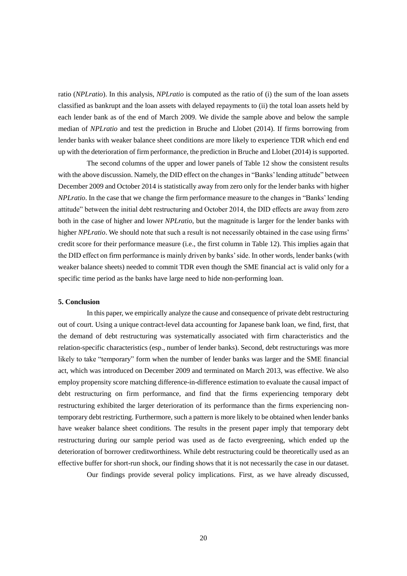ratio (*NPLratio*). In this analysis, *NPLratio* is computed as the ratio of (i) the sum of the loan assets classified as bankrupt and the loan assets with delayed repayments to (ii) the total loan assets held by each lender bank as of the end of March 2009. We divide the sample above and below the sample median of *NPLratio* and test the prediction in Bruche and Llobet (2014). If firms borrowing from lender banks with weaker balance sheet conditions are more likely to experience TDR which end end up with the deterioration of firm performance, the prediction in Bruche and Llobet (2014) is supported.

The second columns of the upper and lower panels of Table 12 show the consistent results with the above discussion. Namely, the DID effect on the changes in "Banks' lending attitude" between December 2009 and October 2014 is statistically away from zero only for the lender banks with higher *NPLratio*. In the case that we change the firm performance measure to the changes in "Banks' lending attitude" between the initial debt restructuring and October 2014, the DID effects are away from zero both in the case of higher and lower *NPLratio*, but the magnitude is larger for the lender banks with higher *NPLratio*. We should note that such a result is not necessarily obtained in the case using firms' credit score for their performance measure (i.e., the first column in Table 12). This implies again that the DID effect on firm performance is mainly driven by banks' side. In other words, lender banks (with weaker balance sheets) needed to commit TDR even though the SME financial act is valid only for a specific time period as the banks have large need to hide non-performing loan.

#### **5. Conclusion**

In this paper, we empirically analyze the cause and consequence of private debt restructuring out of court. Using a unique contract-level data accounting for Japanese bank loan, we find, first, that the demand of debt restructuring was systematically associated with firm characteristics and the relation-specific characteristics (esp., number of lender banks). Second, debt restructurings was more likely to take "temporary" form when the number of lender banks was larger and the SME financial act, which was introduced on December 2009 and terminated on March 2013, was effective. We also employ propensity score matching difference-in-difference estimation to evaluate the causal impact of debt restructuring on firm performance, and find that the firms experiencing temporary debt restructuring exhibited the larger deterioration of its performance than the firms experiencing nontemporary debt restricting. Furthermore, such a pattern is more likely to be obtained when lender banks have weaker balance sheet conditions. The results in the present paper imply that temporary debt restructuring during our sample period was used as de facto evergreening, which ended up the deterioration of borrower creditworthiness. While debt restructuring could be theoretically used as an effective buffer for short-run shock, our finding shows that it is not necessarily the case in our dataset.

Our findings provide several policy implications. First, as we have already discussed,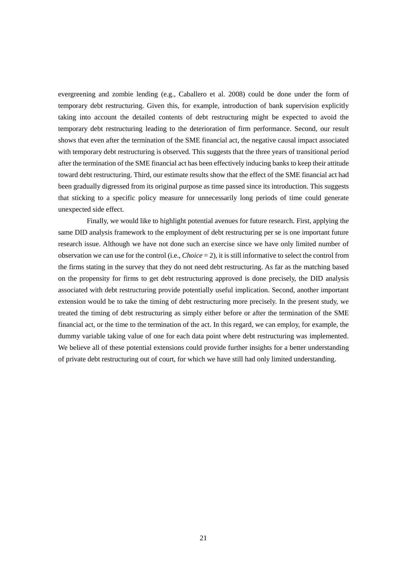evergreening and zombie lending (e.g., Caballero et al. 2008) could be done under the form of temporary debt restructuring. Given this, for example, introduction of bank supervision explicitly taking into account the detailed contents of debt restructuring might be expected to avoid the temporary debt restructuring leading to the deterioration of firm performance. Second, our result shows that even after the termination of the SME financial act, the negative causal impact associated with temporary debt restructuring is observed. This suggests that the three years of transitional period after the termination of the SME financial act has been effectively inducing banks to keep their attitude toward debt restructuring. Third, our estimate results show that the effect of the SME financial act had been gradually digressed from its original purpose as time passed since its introduction. This suggests that sticking to a specific policy measure for unnecessarily long periods of time could generate unexpected side effect.

Finally, we would like to highlight potential avenues for future research. First, applying the same DID analysis framework to the employment of debt restructuring per se is one important future research issue. Although we have not done such an exercise since we have only limited number of observation we can use for the control (i.e., *Choice* = 2), it is still informative to select the control from the firms stating in the survey that they do not need debt restructuring. As far as the matching based on the propensity for firms to get debt restructuring approved is done precisely, the DID analysis associated with debt restructuring provide potentially useful implication. Second, another important extension would be to take the timing of debt restructuring more precisely. In the present study, we treated the timing of debt restructuring as simply either before or after the termination of the SME financial act, or the time to the termination of the act. In this regard, we can employ, for example, the dummy variable taking value of one for each data point where debt restructuring was implemented. We believe all of these potential extensions could provide further insights for a better understanding of private debt restructuring out of court, for which we have still had only limited understanding.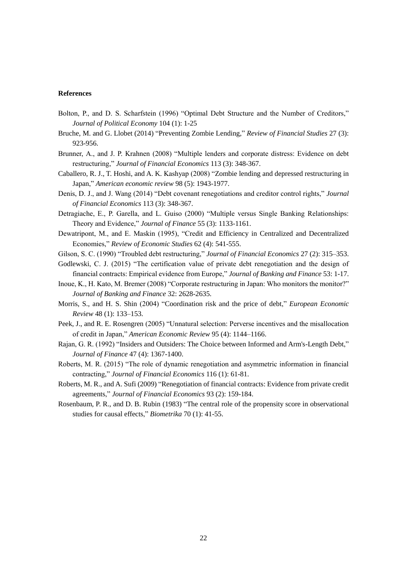#### **References**

- Bolton, P., and D. S. Scharfstein (1996) "Optimal Debt Structure and the Number of Creditors," *Journal of Political Economy* 104 (1): 1-25
- Bruche, M. and G. Llobet (2014) "Preventing Zombie Lending," *Review of Financial Studies* 27 (3): 923-956.
- Brunner, A., and J. P. Krahnen (2008) "Multiple lenders and corporate distress: Evidence on debt restructuring," *Journal of Financial Economics* 113 (3): 348-367.
- Caballero, R. J., T. Hoshi, and A. K. Kashyap (2008) "Zombie lending and depressed restructuring in Japan," *American economic review* 98 (5): 1943-1977.
- Denis, D. J., and J. Wang (2014) "Debt covenant renegotiations and creditor control rights," *Journal of Financial Economics* 113 (3): 348-367.
- Detragiache, E., P. Garella, and L. Guiso (2000) "Multiple versus Single Banking Relationships: Theory and Evidence," *Journal of Finance* 55 (3): 1133-1161.
- Dewatripont, M., and E. Maskin (1995), "Credit and Efficiency in Centralized and Decentralized Economies," *Review of Economic Studies* 62 (4): 541-555.
- Gilson, S. C. (1990) "Troubled debt restructuring," *Journal of Financial Economics* 27 (2): 315–353.
- Godlewski, C. J. (2015) "The certification value of private debt renegotiation and the design of financial contracts: Empirical evidence from Europe," *Journal of Banking and Finance* 53: 1-17.
- Inoue, K., H. Kato, M. Bremer (2008) "Corporate restructuring in Japan: Who monitors the monitor?" *Journal of Banking and Finance* 32: 2628-2635.
- Morris, S., and H. S. Shin (2004) "Coordination risk and the price of debt," *European Economic Review* 48 (1): 133–153.
- Peek, J., and R. E. Rosengren (2005) "Unnatural selection: Perverse incentives and the misallocation of credit in Japan," *American Economic Review* 95 (4): 1144–1166.
- Rajan, G. R. (1992) "Insiders and Outsiders: The Choice between Informed and Arm's-Length Debt," *Journal of Finance* 47 (4): 1367-1400.
- Roberts, M. R. (2015) "The role of dynamic renegotiation and asymmetric information in financial contracting," *Journal of Financial Economics* 116 (1): 61-81.
- Roberts, M. R., and A. Sufi (2009) "Renegotiation of financial contracts: Evidence from private credit agreements," *Journal of Financial Economics* 93 (2): 159-184.
- Rosenbaum, P. R., and D. B. Rubin (1983) "The central role of the propensity score in observational studies for causal effects," *Biometrika* 70 (1): 41-55.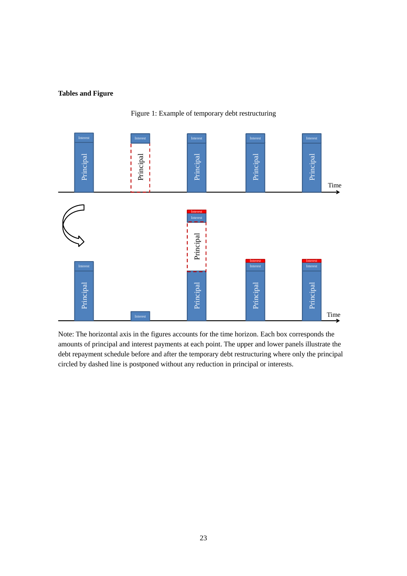#### **Tables and Figure**





Note: The horizontal axis in the figures accounts for the time horizon. Each box corresponds the amounts of principal and interest payments at each point. The upper and lower panels illustrate the debt repayment schedule before and after the temporary debt restructuring where only the principal circled by dashed line is postponed without any reduction in principal or interests.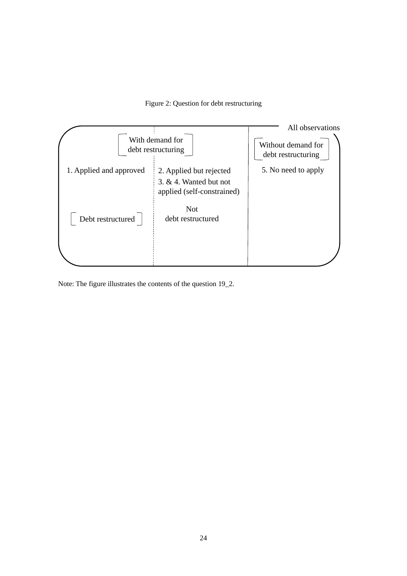Figure 2: Question for debt restructuring



Note: The figure illustrates the contents of the question 19\_2.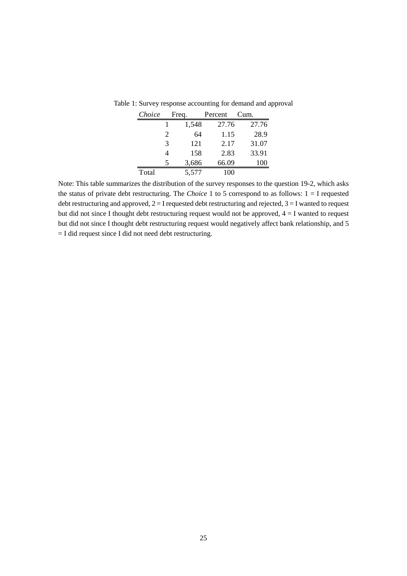| Choice |                       | Frea. | Percent | Cum.  |
|--------|-----------------------|-------|---------|-------|
|        |                       | 1,548 | 27.76   | 27.76 |
|        | $\mathcal{D}_{\cdot}$ | 64    | 1.15    | 28.9  |
|        | 3                     | 121   | 2.17    | 31.07 |
|        |                       | 158   | 2.83    | 33.91 |
|        | 5                     | 3,686 | 66.09   | 100   |
| Total  |                       | 5,577 |         |       |

Table 1: Survey response accounting for demand and approval

Note: This table summarizes the distribution of the survey responses to the question 19-2, which asks the status of private debt restructuring. The *Choice* 1 to 5 correspond to as follows:  $1 = I$  requested debt restructuring and approved,  $2 = I$  requested debt restructuring and rejected,  $3 = I$  wanted to request but did not since I thought debt restructuring request would not be approved,  $4 = I$  wanted to request but did not since I thought debt restructuring request would negatively affect bank relationship, and 5 = I did request since I did not need debt restructuring.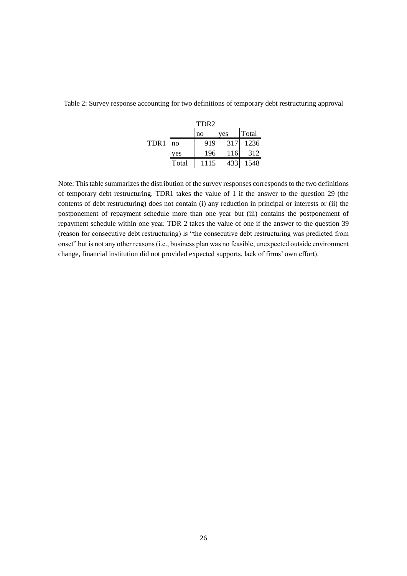|                  |                | TDR <sub>2</sub> |     |       |
|------------------|----------------|------------------|-----|-------|
|                  |                | no               | yes | Total |
| TDR <sub>1</sub> | n <sub>0</sub> | 919              | 317 | 1236  |
|                  | yes            | 196              | 116 | 312   |
|                  | Total          | 1115             | 433 | 1548  |

Table 2: Survey response accounting for two definitions of temporary debt restructuring approval

Note: This table summarizes the distribution of the survey responses corresponds to the two definitions of temporary debt restructuring. TDR1 takes the value of 1 if the answer to the question 29 (the contents of debt restructuring) does not contain (i) any reduction in principal or interests or (ii) the postponement of repayment schedule more than one year but (iii) contains the postponement of repayment schedule within one year. TDR 2 takes the value of one if the answer to the question 39 (reason for consecutive debt restructuring) is "the consecutive debt restructuring was predicted from onset" but is not any other reasons (i.e., business plan was no feasible, unexpected outside environment change, financial institution did not provided expected supports, lack of firms' own effort).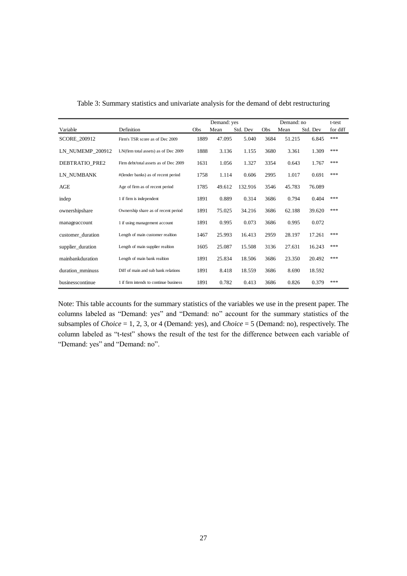|                     |                                        |      | Demand: yes |          |      | t-test |          |          |
|---------------------|----------------------------------------|------|-------------|----------|------|--------|----------|----------|
| Variable            | Definition                             | Obs  | Mean        | Std. Dev | Obs  | Mean   | Std. Dev | for diff |
| <b>SCORE 200912</b> | Firm's TSR score as of Dec 2009        | 1889 | 47.095      | 5.040    | 3684 | 51.215 | 6.845    | ***      |
| LN NUMEMP 200912    | LN(firm total assets) as of Dec 2009   | 1888 | 3.136       | 1.155    | 3680 | 3.361  | 1.309    | ***      |
| DEBTRATIO_PRE2      | Firm debt/total assets as of Dec 2009  | 1631 | 1.056       | 1.327    | 3354 | 0.643  | 1.767    | ***      |
| LN NUMBANK          | #(lender banks) as of recent period    | 1758 | 1.114       | 0.606    | 2995 | 1.017  | 0.691    | ***      |
| AGE                 | Age of firm as of recent period        | 1785 | 49.612      | 132.916  | 3546 | 45.783 | 76.089   |          |
| indep               | 1 if firm is independent               | 1891 | 0.889       | 0.314    | 3686 | 0.794  | 0.404    | ***      |
| ownershipshare      | Ownership share as of recent period    | 1891 | 75.025      | 34.216   | 3686 | 62.188 | 39.620   | ***      |
| manageaccount       | 1 if using management account          | 1891 | 0.995       | 0.073    | 3686 | 0.995  | 0.072    |          |
| customer_duration   | Length of main customer realtion       | 1467 | 25.993      | 16.413   | 2959 | 28.197 | 17.261   | ***      |
| supplier_duration   | Length of main supplier realtion       | 1605 | 25.087      | 15.508   | 3136 | 27.631 | 16.243   | ***      |
| mainbankduration    | Length of main bank realtion           | 1891 | 25.834      | 18.506   | 3686 | 23.350 | 20.492   | ***      |
| duration_mminuss    | Diff of main and sub bank relations    | 1891 | 8.418       | 18.559   | 3686 | 8.690  | 18.592   |          |
| businesscontinue    | 1 if firm intends to continue business | 1891 | 0.782       | 0.413    | 3686 | 0.826  | 0.379    | ***      |

|  |  |  |  | Table 3: Summary statistics and univariate analysis for the demand of debt restructuring |  |
|--|--|--|--|------------------------------------------------------------------------------------------|--|
|  |  |  |  |                                                                                          |  |

Note: This table accounts for the summary statistics of the variables we use in the present paper. The columns labeled as "Demand: yes" and "Demand: no" account for the summary statistics of the subsamples of *Choice* = 1, 2, 3, or 4 (Demand: yes), and *Choice* = 5 (Demand: no), respectively. The column labeled as "t-test" shows the result of the test for the difference between each variable of "Demand: yes" and "Demand: no".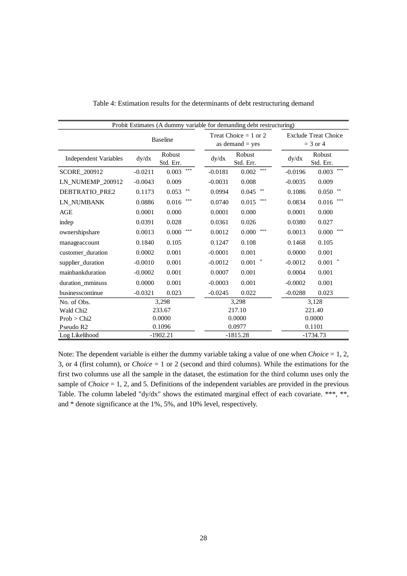| Probit Estimates (A dummy variable for demanding debt restructuring) |                 |                     |           |                                              |           |                                           |  |  |  |  |
|----------------------------------------------------------------------|-----------------|---------------------|-----------|----------------------------------------------|-----------|-------------------------------------------|--|--|--|--|
|                                                                      | <b>Baseline</b> |                     |           | Treat Choice $= 1$ or 2<br>as demand $=$ yes |           | <b>Exclude Treat Choice</b><br>$=$ 3 or 4 |  |  |  |  |
| <b>Independent Variables</b>                                         | dy/dx           | Robust<br>Std. Err. | dy/dx     | Robust<br>Std. Err.                          | dy/dx     | Robust<br>Std. Err.                       |  |  |  |  |
| SCORE_200912                                                         | $-0.0211$       | ***<br>0.003        | $-0.0181$ | ***<br>0.002                                 | $-0.0196$ | ***<br>0.003                              |  |  |  |  |
| LN_NUMEMP_200912                                                     | $-0.0043$       | 0.009               | $-0.0031$ | 0.008                                        | $-0.0035$ | 0.009                                     |  |  |  |  |
| DEBTRATIO_PRE2                                                       | 0.1173          | $* *$<br>0.053      | 0.0994    | $\pm\pm$<br>0.045                            | 0.1086    | $\pm\pm$<br>0.050                         |  |  |  |  |
| LN NUMBANK                                                           | 0.0886          | ***<br>0.016        | 0.0740    | ***<br>0.015                                 | 0.0834    | ***<br>0.016                              |  |  |  |  |
| AGE                                                                  | 0.0001          | 0.000               | 0.0001    | 0.000                                        | 0.0001    | 0.000                                     |  |  |  |  |
| indep                                                                | 0.0391          | 0.028               | 0.0361    | 0.026                                        | 0.0380    | 0.027                                     |  |  |  |  |
| ownershipshare                                                       | 0.0013          | ***<br>0.000        | 0.0012    | ***<br>0.000                                 | 0.0013    | ***<br>0.000                              |  |  |  |  |
| manageaccount                                                        | 0.1840          | 0.105               | 0.1247    | 0.108                                        | 0.1468    | 0.105                                     |  |  |  |  |
| customer_duration                                                    | 0.0002          | 0.001               | $-0.0001$ | 0.001                                        | 0.0000    | 0.001                                     |  |  |  |  |
| supplier_duration                                                    | $-0.0010$       | 0.001               | $-0.0012$ | 0.001                                        | $-0.0012$ | 0.001                                     |  |  |  |  |
| mainbankduration                                                     | $-0.0002$       | 0.001               | 0.0007    | 0.001                                        | 0.0004    | 0.001                                     |  |  |  |  |
| duration_mminuss                                                     | 0.0000          | 0.001               | $-0.0003$ | 0.001                                        | $-0.0002$ | 0.001                                     |  |  |  |  |
| businesscontinue                                                     | $-0.0321$       | 0.023               | $-0.0245$ | 0.022                                        | $-0.0288$ | 0.023                                     |  |  |  |  |
| No. of Obs.                                                          |                 | 3,298               |           | 3,298                                        |           | 3,128                                     |  |  |  |  |
| Wald Chi <sub>2</sub>                                                |                 | 233.67              |           | 217.10                                       |           | 221.40                                    |  |  |  |  |
| Prob > Chi2                                                          |                 | 0.0000              |           | 0.0000                                       | 0.0000    |                                           |  |  |  |  |
| Pseudo R <sub>2</sub>                                                |                 | 0.1096              |           | 0.0977                                       | 0.1101    |                                           |  |  |  |  |
| Log Likelihood                                                       |                 | $-1902.21$          |           | $-1815.28$                                   |           | $-1734.73$                                |  |  |  |  |

Table 4: Estimation results for the determinants of debt restructuring demand

Note: The dependent variable is either the dummy variable taking a value of one when *Choice* = 1, 2, 3, or 4 (first column), or *Choice* = 1 or 2 (second and third columns). While the estimations for the first two columns use all the sample in the dataset, the estimation for the third column uses only the sample of *Choice* = 1, 2, and 5. Definitions of the independent variables are provided in the previous Table. The column labeled "dy/dx" shows the estimated marginal effect of each covariate. \*\*\*, \*\*, and \* denote significance at the 1%, 5%, and 10% level, respectively.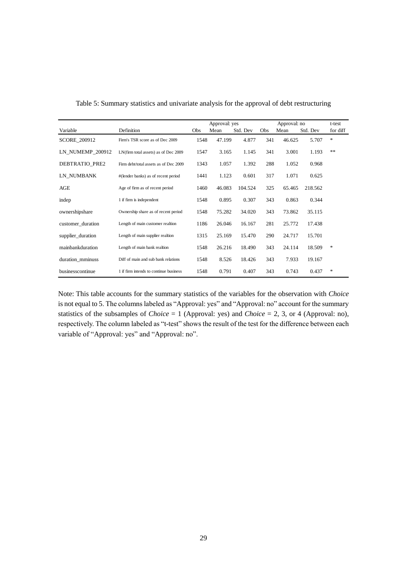|                   |                                        |      | Approval: yes |          |     | t-test |          |               |
|-------------------|----------------------------------------|------|---------------|----------|-----|--------|----------|---------------|
| Variable          | Definition                             | Obs  | Mean          | Std. Dev | Obs | Mean   | Std. Dev | for diff      |
| SCORE_200912      | Firm's TSR score as of Dec 2009        | 1548 | 47.199        | 4.877    | 341 | 46.625 | 5.707    | $\ast$        |
| LN NUMEMP 200912  | LN(firm total assets) as of Dec 2009   | 1547 | 3.165         | 1.145    | 341 | 3.001  | 1.193    | $\ast$ $\ast$ |
| DEBTRATIO PRE2    | Firm debt/total assets as of Dec 2009  | 1343 | 1.057         | 1.392    | 288 | 1.052  | 0.968    |               |
| LN NUMBANK        | #(lender banks) as of recent period    | 1441 | 1.123         | 0.601    | 317 | 1.071  | 0.625    |               |
| AGE               | Age of firm as of recent period        | 1460 | 46.083        | 104.524  | 325 | 65.465 | 218.562  |               |
| indep             | 1 if firm is independent               | 1548 | 0.895         | 0.307    | 343 | 0.863  | 0.344    |               |
| ownershipshare    | Ownership share as of recent period    | 1548 | 75.282        | 34.020   | 343 | 73.862 | 35.115   |               |
| customer duration | Length of main customer realtion       | 1186 | 26.046        | 16.167   | 281 | 25.772 | 17.438   |               |
| supplier_duration | Length of main supplier realtion       | 1315 | 25.169        | 15.470   | 290 | 24.717 | 15.701   |               |
| mainbankduration  | Length of main bank realtion           | 1548 | 26.216        | 18.490   | 343 | 24.114 | 18.509   | ∗             |
| duration mminuss  | Diff of main and sub bank relations    | 1548 | 8.526         | 18.426   | 343 | 7.933  | 19.167   |               |
| businesscontinue  | 1 if firm intends to continue business | 1548 | 0.791         | 0.407    | 343 | 0.743  | 0.437    | ∗             |

Table 5: Summary statistics and univariate analysis for the approval of debt restructuring

Note: This table accounts for the summary statistics of the variables for the observation with *Choice* is not equal to 5. The columns labeled as "Approval: yes" and "Approval: no" account for the summary statistics of the subsamples of *Choice* = 1 (Approval: yes) and *Choice* = 2, 3, or 4 (Approval: no), respectively. The column labeled as "t-test" shows the result of the test for the difference between each variable of "Approval: yes" and "Approval: no".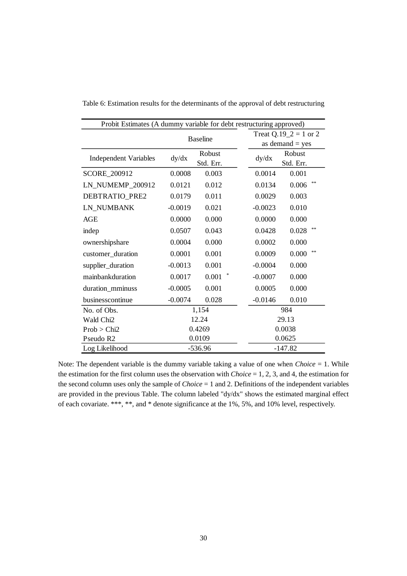| Probit Estimates (A dummy variable for debt restructuring approved) |           |                       |  |           |                   |  |  |  |  |  |
|---------------------------------------------------------------------|-----------|-----------------------|--|-----------|-------------------|--|--|--|--|--|
|                                                                     |           | Treat Q.19_2 = 1 or 2 |  |           |                   |  |  |  |  |  |
|                                                                     |           |                       |  |           | as demand $=$ yes |  |  |  |  |  |
| <b>Independent Variables</b>                                        | dy/dx     | Robust                |  | dy/dx     | Robust            |  |  |  |  |  |
|                                                                     |           | Std. Err.             |  |           | Std. Err.         |  |  |  |  |  |
| SCORE_200912                                                        | 0.0008    | 0.003                 |  | 0.0014    | 0.001             |  |  |  |  |  |
| LN_NUMEMP_200912                                                    | 0.0121    | 0.012                 |  | 0.0134    | **<br>0.006       |  |  |  |  |  |
| DEBTRATIO_PRE2                                                      | 0.0179    | 0.011                 |  | 0.0029    | 0.003             |  |  |  |  |  |
| LN_NUMBANK                                                          | $-0.0019$ | 0.021                 |  | $-0.0023$ | 0.010             |  |  |  |  |  |
| <b>AGE</b>                                                          | 0.0000    | 0.000                 |  | 0.0000    | 0.000             |  |  |  |  |  |
| indep                                                               | 0.0507    | 0.043                 |  | 0.0428    | **<br>0.028       |  |  |  |  |  |
| ownershipshare                                                      | 0.0004    | 0.000                 |  | 0.0002    | 0.000             |  |  |  |  |  |
| customer_duration                                                   | 0.0001    | 0.001                 |  | 0.0009    | **<br>0.000       |  |  |  |  |  |
| supplier_duration                                                   | $-0.0013$ | 0.001                 |  | $-0.0004$ | 0.000             |  |  |  |  |  |
| mainbankduration                                                    | 0.0017    | 0.001                 |  | $-0.0007$ | 0.000             |  |  |  |  |  |
| duration_mminuss                                                    | $-0.0005$ | 0.001                 |  | 0.0005    | 0.000             |  |  |  |  |  |
| businesscontinue                                                    | $-0.0074$ | 0.028                 |  | $-0.0146$ | 0.010             |  |  |  |  |  |
| No. of Obs.                                                         |           | 1,154                 |  |           | 984               |  |  |  |  |  |
| Wald Chi2                                                           |           | 12.24                 |  |           | 29.13             |  |  |  |  |  |
| Prob > Chi2                                                         |           | 0.4269                |  |           | 0.0038            |  |  |  |  |  |
| Pseudo R2                                                           |           | 0.0109                |  | 0.0625    |                   |  |  |  |  |  |
| Log Likelihood                                                      |           | $-536.96$             |  | $-147.82$ |                   |  |  |  |  |  |

Table 6: Estimation results for the determinants of the approval of debt restructuring

Note: The dependent variable is the dummy variable taking a value of one when *Choice* = 1. While the estimation for the first column uses the observation with *Choice* = 1, 2, 3, and 4, the estimation for the second column uses only the sample of *Choice* = 1 and 2. Definitions of the independent variables are provided in the previous Table. The column labeled "dy/dx" shows the estimated marginal effect of each covariate. \*\*\*, \*\*, and \* denote significance at the 1%, 5%, and 10% level, respectively.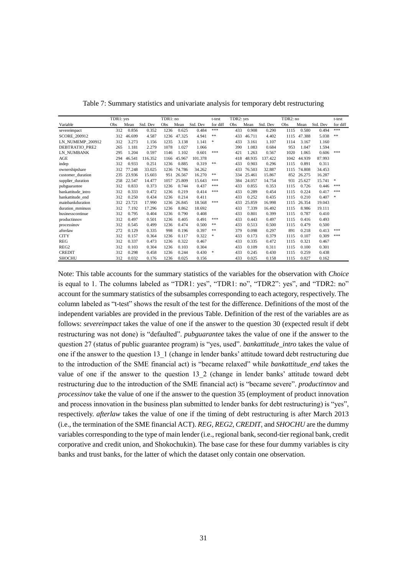|                     | TDR1: yes |        |          | TDR1: no |        |          | t-test   | TDR2: yes |        |          | TDR2: no |        |          | t-test        |
|---------------------|-----------|--------|----------|----------|--------|----------|----------|-----------|--------|----------|----------|--------|----------|---------------|
| Variable            | Obs       | Mean   | Std. Dev | Obs      | Mean   | Std. Dev | for diff | Obs       | Mean   | Std. Dev | Obs      | Mean   | Std. Dev | for diff      |
| severeimpact        | 312       | 0.856  | 0.352    | 1236     | 0.625  | 0.484    | ***      | 433       | 0.908  | 0.290    | 1115     | 0.580  | 0.494    | ***           |
| <b>SCORE 200912</b> | 312       | 46.699 | 4.587    | 1236     | 47.325 | 4.941    | **       | 433       | 46.711 | 4.402    | 1115     | 47.388 | 5.038    | **            |
| LN NUMEMP 200912    | 312       | 3.273  | 1.156    | 1235     | 3.138  | 1.141    | *        | 433       | 3.161  | 1.107    | 1114     | 3.167  | 1.160    |               |
| DEBTRATIO_PRE2      | 265       | 1.181  | 2.279    | 1078     | 1.027  | 1.066    |          | 390       | 1.083  | 0.684    | 953      | 1.047  | 1.594    |               |
| LN NUMBANK          | 295       | 1.204  | 0.597    | 1146     | 1.102  | 0.601    | ***      | 421       | 1.263  | 0.567    | 1020     | 1.065  | 0.606    | 米米米           |
| AGE                 | 294       | 46.541 | 116.352  | 1166     | 45.967 | 101.378  |          | 418       | 48.935 | 137.422  | 1042     | 44.939 | 87.993   |               |
| indep               | 312       | 0.933  | 0.251    | 1236     | 0.885  | 0.319    | **       | 433       | 0.903  | 0.296    | 1115     | 0.891  | 0.311    |               |
| ownershipshare      | 312       | 77.248 | 33.025   | 1236     | 74.786 | 34.262   |          | 433       | 76.503 | 32.887   | 1115     | 74.808 | 34.453   |               |
| customer duration   | 235       | 23.936 | 15.603   | 951      | 26.567 | 16.270   | **       | 334       | 25.461 | 15.867   | 852      | 26.275 | 16.287   |               |
| supplier_duration   | 258       | 22.547 | 14.477   | 1057     | 25.809 | 15.643   | ***      | 384       | 24.057 | 14.754   | 931      | 25.627 | 15.741   | *             |
| pubguarantee        | 312       | 0.833  | 0.373    | 1236     | 0.744  | 0.437    | ***      | 433       | 0.855  | 0.353    | 1115     | 0.726  | 0.446    | 米米米           |
| bankattitude intro  | 312       | 0.333  | 0.472    | 1236     | 0.219  | 0.414    | ***      | 433       | 0.289  | 0.454    | 1115     | 0.224  | 0.417    | 米米米           |
| bankattitude end    | 312       | 0.250  | 0.434    | 1236     | 0.214  | 0.411    |          | 433       | 0.252  | 0.435    | 1115     | 0.210  | 0.407    | $\frac{1}{2}$ |
| mainbankduration    | 312       | 23.721 | 17.990   | 1236     | 26.845 | 18.568   | ***      | 433       | 25.859 | 16.998   | 1115     | 26.354 | 19.043   |               |
| duration mminuss    | 312       | 7.192  | 17.296   | 1236     | 8.862  | 18.692   |          | 433       | 7.339  | 16.492   | 1115     | 8.986  | 19.111   |               |
| businesscontinue    | 312       | 0.795  | 0.404    | 1236     | 0.790  | 0.408    |          | 433       | 0.801  | 0.399    | 1115     | 0.787  | 0.410    |               |
| productinnov        | 312       | 0.497  | 0.501    | 1236     | 0.405  | 0.491    | ***      | 433       | 0.443  | 0.497    | 1115     | 0.416  | 0.493    |               |
| processinov         | 312       | 0.545  | 0.499    | 1236     | 0.474  | 0.500    | **       | 433       | 0.513  | 0.500    | 1115     | 0.479  | 0.500    |               |
| afterlaw            | 272       | 0.129  | 0.335    | 998      | 0.196  | 0.397    | **       | 379       | 0.098  | 0.297    | 891      | 0.218  | 0.413    | 米米米           |
| <b>CITY</b>         | 312       | 0.157  | 0.364    | 1236     | 0.117  | 0.322    | *        | 433       | 0.173  | 0.379    | 1115     | 0.107  | 0.309    | 米米米           |
| <b>REG</b>          | 312       | 0.337  | 0.473    | 1236     | 0.322  | 0.467    |          | 433       | 0.335  | 0.472    | 1115     | 0.321  | 0.467    |               |
| REG <sub>2</sub>    | 312       | 0.103  | 0.304    | 1236     | 0.103  | 0.304    |          | 433       | 0.109  | 0.311    | 1115     | 0.100  | 0.301    |               |
| <b>CREDIT</b>       | 312       | 0.298  | 0.458    | 1236     | 0.244  | 0.430    | *        | 433       | 0.245  | 0.430    | 1115     | 0.259  | 0.438    |               |
| <b>SHOCHU</b>       | 312       | 0.032  | 0.176    | 1236     | 0.025  | 0.156    |          | 433       | 0.025  | 0.158    | 1115     | 0.027  | 0.162    |               |

Table 7: Summary statistics and univariate analysis for temporary debt restructuring

Note: This table accounts for the summary statistics of the variables for the observation with *Choice* is equal to 1. The columns labeled as "TDR1: yes", "TDR1: no", "TDR2": yes", and "TDR2: no" account for the summary statistics of the subsamples corresponding to each actegory, respectively. The column labeled as "t-test" shows the result of the test for the difference. Definitions of the most of the independent variables are provided in the previous Table. Definition of the rest of the variables are as follows: *severeimpact* takes the value of one if the answer to the question 30 (expected result if debt restructuring was not done) is "defaulted". *pubguarantee* takes the value of one if the answer to the question 27 (status of public guarantee program) is "yes, used". *bankattitude\_intro* takes the value of one if the answer to the question 13\_1 (change in lender banks' attitude toward debt restructuring due to the introduction of the SME financial act) is "became relaxed" while *bankattitude\_end* takes the value of one if the answer to the question 13\_2 (change in lender banks' attitude toward debt restructuring due to the introduction of the SME financial act) is "became severe". *productinnov* and *processinov* take the value of one if the answer to the question 35 (employment of product innovation and process innovation in the business plan submitted to lender banks for debt restructuring) is "yes", respectively. *afterlaw* takes the value of one if the timing of debt restructuring is after March 2013 (i.e., the termination of the SME financial ACT). *REG, REG2*, *CREDIT*, and *SHOCHU* are the dummy variables corresponding to the type of main lender (i.e., regional bank, second-tier regional bank, credit corporative and credit union, and Shokochukin). The base case for these four dummy variables is city banks and trust banks, for the latter of which the dataset only contain one observation.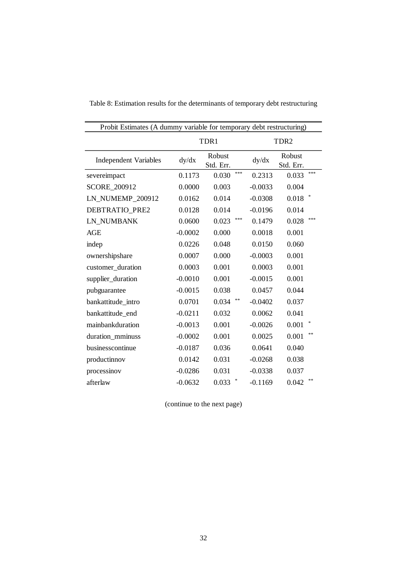|                              | Probit Estimates (A dummy variable for temporary debt restructuring) |                     |           |                     |  |  |  |  |  |  |  |  |
|------------------------------|----------------------------------------------------------------------|---------------------|-----------|---------------------|--|--|--|--|--|--|--|--|
|                              |                                                                      | TDR1                |           | TDR <sub>2</sub>    |  |  |  |  |  |  |  |  |
| <b>Independent Variables</b> | dy/dx                                                                | Robust<br>Std. Err. | dy/dx     | Robust<br>Std. Err. |  |  |  |  |  |  |  |  |
| severeimpact                 | 0.1173                                                               | ***<br>0.030        | 0.2313    | ***<br>0.033        |  |  |  |  |  |  |  |  |
| <b>SCORE 200912</b>          | 0.0000                                                               | 0.003               | $-0.0033$ | 0.004               |  |  |  |  |  |  |  |  |
| LN_NUMEMP_200912             | 0.0162                                                               | 0.014               | $-0.0308$ | 0.018               |  |  |  |  |  |  |  |  |
| DEBTRATIO_PRE2               | 0.0128                                                               | 0.014               | $-0.0196$ | 0.014               |  |  |  |  |  |  |  |  |
| LN NUMBANK                   | 0.0600                                                               | ***<br>0.023        | 0.1479    | ***<br>0.028        |  |  |  |  |  |  |  |  |
| <b>AGE</b>                   | $-0.0002$                                                            | 0.000               | 0.0018    | 0.001               |  |  |  |  |  |  |  |  |
| indep                        | 0.0226                                                               | 0.048               | 0.0150    | 0.060               |  |  |  |  |  |  |  |  |
| ownershipshare               | 0.0007                                                               | 0.000               | $-0.0003$ | 0.001               |  |  |  |  |  |  |  |  |
| customer_duration            | 0.0003                                                               | 0.001               | 0.0003    | 0.001               |  |  |  |  |  |  |  |  |
| supplier_duration            | $-0.0010$                                                            | 0.001               | $-0.0015$ | 0.001               |  |  |  |  |  |  |  |  |
| pubguarantee                 | $-0.0015$                                                            | 0.038               | 0.0457    | 0.044               |  |  |  |  |  |  |  |  |
| bankattitude intro           | 0.0701                                                               | **<br>0.034         | $-0.0402$ | 0.037               |  |  |  |  |  |  |  |  |
| bankattitude_end             | $-0.0211$                                                            | 0.032               | 0.0062    | 0.041               |  |  |  |  |  |  |  |  |
| mainbankduration             | $-0.0013$                                                            | 0.001               | $-0.0026$ | 0.001               |  |  |  |  |  |  |  |  |
| duration_mminuss             | $-0.0002$                                                            | 0.001               | 0.0025    | **<br>0.001         |  |  |  |  |  |  |  |  |
| businesscontinue             | $-0.0187$                                                            | 0.036               | 0.0641    | 0.040               |  |  |  |  |  |  |  |  |
| productinnov                 | 0.0142                                                               | 0.031               | $-0.0268$ | 0.038               |  |  |  |  |  |  |  |  |
| processinov                  | $-0.0286$                                                            | 0.031               | $-0.0338$ | 0.037               |  |  |  |  |  |  |  |  |
| afterlaw                     | $-0.0632$                                                            | *<br>0.033          | $-0.1169$ | **<br>0.042         |  |  |  |  |  |  |  |  |

Table 8: Estimation results for the determinants of temporary debt restructuring

(continue to the next page)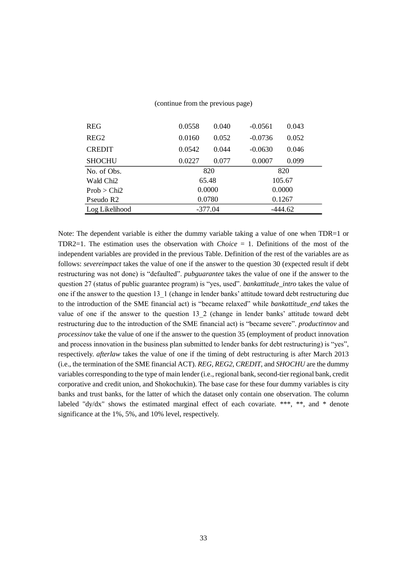| <b>REG</b>            | 0.0558    | 0.040 | $-0.0561$ | 0.043 |  |  |
|-----------------------|-----------|-------|-----------|-------|--|--|
| REG <sub>2</sub>      | 0.0160    | 0.052 | $-0.0736$ | 0.052 |  |  |
| <b>CREDIT</b>         | 0.0542    | 0.044 | $-0.0630$ | 0.046 |  |  |
| <b>SHOCHU</b>         | 0.0227    | 0.077 | 0.0007    | 0.099 |  |  |
| No. of Obs.           | 820       |       | 820       |       |  |  |
| Wald Chi <sub>2</sub> | 65.48     |       | 105.67    |       |  |  |
| Prob > Chi2           | 0.0000    |       | 0.0000    |       |  |  |
| Pseudo R <sub>2</sub> | 0.0780    |       | 0.1267    |       |  |  |
| Log Likelihood        | $-377.04$ |       | $-444.62$ |       |  |  |

#### (continue from the previous page)

Note: The dependent variable is either the dummy variable taking a value of one when TDR=1 or TDR2=1. The estimation uses the observation with *Choice* = 1. Definitions of the most of the independent variables are provided in the previous Table. Definition of the rest of the variables are as follows: *severeimpact* takes the value of one if the answer to the question 30 (expected result if debt restructuring was not done) is "defaulted". *pubguarantee* takes the value of one if the answer to the question 27 (status of public guarantee program) is "yes, used". *bankattitude\_intro* takes the value of one if the answer to the question 13\_1 (change in lender banks' attitude toward debt restructuring due to the introduction of the SME financial act) is "became relaxed" while *bankattitude\_end* takes the value of one if the answer to the question 13\_2 (change in lender banks' attitude toward debt restructuring due to the introduction of the SME financial act) is "became severe". *productinnov* and *processinov* take the value of one if the answer to the question 35 (employment of product innovation and process innovation in the business plan submitted to lender banks for debt restructuring) is "yes", respectively. *afterlaw* takes the value of one if the timing of debt restructuring is after March 2013 (i.e., the termination of the SME financial ACT). *REG, REG2*, *CREDIT*, and *SHOCHU* are the dummy variables corresponding to the type of main lender (i.e., regional bank, second-tier regional bank, credit corporative and credit union, and Shokochukin). The base case for these four dummy variables is city banks and trust banks, for the latter of which the dataset only contain one observation. The column labeled "dy/dx" shows the estimated marginal effect of each covariate. \*\*\*, \*\*, and \* denote significance at the 1%, 5%, and 10% level, respectively.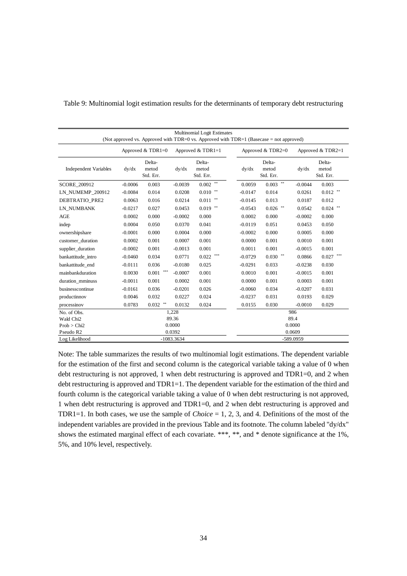| <b>Multinomial Logit Estimates</b><br>(Not approved vs. Approved with TDR=0 vs. Approved with TDR=1 (Basecase = not approved) |           |                              |              |                              |     |           |                              |           |                              |  |  |
|-------------------------------------------------------------------------------------------------------------------------------|-----------|------------------------------|--------------|------------------------------|-----|-----------|------------------------------|-----------|------------------------------|--|--|
|                                                                                                                               |           | Approved $&$ TDR1=0          |              | Approved & TDR1=1            |     |           | Approved $&$ TDR2=0          |           | Approved $& TDR2=1$          |  |  |
| <b>Independent Variables</b>                                                                                                  | dy/dx     | Delta-<br>metod<br>Std. Err. | dy/dx        | Delta-<br>metod<br>Std. Err. |     | dy/dx     | Delta-<br>metod<br>Std. Err. | dy/dx     | Delta-<br>metod<br>Std. Err. |  |  |
| <b>SCORE 200912</b>                                                                                                           | $-0.0006$ | 0.003                        | $-0.0039$    | $0.002$ **                   |     | 0.0059    | $0.003$ **                   | $-0.0044$ | 0.003                        |  |  |
| LN NUMEMP 200912                                                                                                              | $-0.0084$ | 0.014                        | 0.0208       | 0.010                        | **  | $-0.0147$ | 0.014                        | 0.0261    | $0.012$ **                   |  |  |
| DEBTRATIO PRE2                                                                                                                | 0.0063    | 0.016                        | 0.0214       | 0.011                        |     | $-0.0145$ | 0.013                        | 0.0187    | 0.012                        |  |  |
| LN NUMBANK                                                                                                                    | $-0.0217$ | 0.027                        | 0.0453       | $0.019$ **                   |     | $-0.0543$ | $0.026$ **                   | 0.0542    | $0.024$ **                   |  |  |
| AGE                                                                                                                           | 0.0002    | 0.000                        | $-0.0002$    | 0.000                        |     | 0.0002    | 0.000                        | $-0.0002$ | 0.000                        |  |  |
| indep                                                                                                                         | 0.0004    | 0.050                        | 0.0370       | 0.041                        |     | $-0.0119$ | 0.051                        | 0.0453    | 0.050                        |  |  |
| ownershipshare                                                                                                                | $-0.0001$ | 0.000                        | 0.0004       | 0.000                        |     | $-0.0002$ | 0.000                        | 0.0005    | 0.000                        |  |  |
| customer duration                                                                                                             | 0.0002    | 0.001                        | 0.0007       | 0.001                        |     | 0.0000    | 0.001                        | 0.0010    | 0.001                        |  |  |
| supplier_duration                                                                                                             | $-0.0002$ | 0.001                        | $-0.0013$    | 0.001                        |     | 0.0011    | 0.001                        | $-0.0015$ | 0.001                        |  |  |
| bankattitude_intro                                                                                                            | $-0.0460$ | 0.034                        | 0.0771       | 0.022                        | *** | $-0.0729$ | $0.030$ **                   | 0.0866    | $0.027$ ***                  |  |  |
| bankattitude_end                                                                                                              | $-0.0111$ | 0.036                        | $-0.0180$    | 0.025                        |     | $-0.0291$ | 0.033                        | $-0.0238$ | 0.030                        |  |  |
| mainbankduration                                                                                                              | 0.0030    | ***<br>0.001                 | $-0.0007$    | 0.001                        |     | 0.0010    | 0.001                        | $-0.0015$ | 0.001                        |  |  |
| duration mminuss                                                                                                              | $-0.0011$ | 0.001                        | 0.0002       | 0.001                        |     | 0.0000    | 0.001                        | 0.0003    | 0.001                        |  |  |
| businesscontinue                                                                                                              | $-0.0161$ | 0.036                        | $-0.0201$    | 0.026                        |     | $-0.0060$ | 0.034                        | $-0.0207$ | 0.031                        |  |  |
| productinnov                                                                                                                  | 0.0046    | 0.032                        | 0.0227       | 0.024                        |     | $-0.0237$ | 0.031                        | 0.0193    | 0.029                        |  |  |
| processinov                                                                                                                   | 0.0783    | $0.032$ **                   | 0.0132       | 0.024                        |     | 0.0155    | 0.030                        | $-0.0010$ | 0.029                        |  |  |
| No. of Obs.                                                                                                                   |           |                              | 1,228        |                              |     |           |                              | 986       |                              |  |  |
| Wald Chi <sub>2</sub>                                                                                                         |           |                              | 89.36        |                              |     |           |                              | 89.4      |                              |  |  |
| Prob > Chi2                                                                                                                   |           |                              | 0.0000       |                              |     | 0.0000    |                              |           |                              |  |  |
| Pseudo R2                                                                                                                     |           |                              | 0.0392       |                              |     |           |                              | 0.0609    |                              |  |  |
| Log Likelihood                                                                                                                |           |                              | $-1083.3634$ |                              |     |           |                              | -589.0959 |                              |  |  |

Table 9: Multinomial logit estimation results for the determinants of temporary debt restructuring

Note: The table summarizes the results of two multinomial logit estimations. The dependent variable for the estimation of the first and second column is the categorical variable taking a value of 0 when debt restructuring is not approved, 1 when debt restructuring is approved and TDR1=0, and 2 when debt restructuring is approved and TDR1=1. The dependent variable for the estimation of the third and fourth column is the categorical variable taking a value of 0 when debt restructuring is not approved, 1 when debt restructuring is approved and TDR1=0, and 2 when debt restructuring is approved and TDR1=1. In both cases, we use the sample of *Choice* = 1, 2, 3, and 4. Definitions of the most of the independent variables are provided in the previous Table and its footnote. The column labeled "dy/dx" shows the estimated marginal effect of each covariate. \*\*\*, \*\*, and \* denote significance at the 1%, 5%, and 10% level, respectively.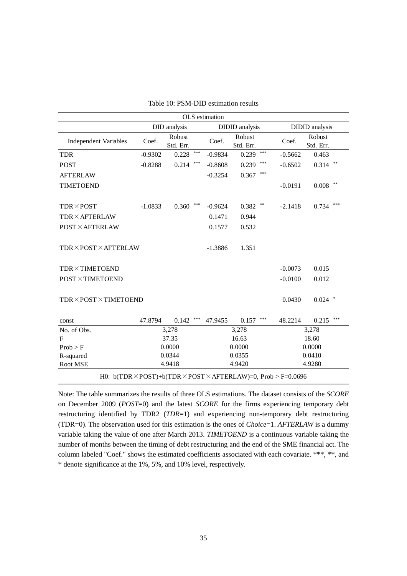| OLS estimation                                                                          |           |                     |       |           |                       |                |           |                       |     |  |  |
|-----------------------------------------------------------------------------------------|-----------|---------------------|-------|-----------|-----------------------|----------------|-----------|-----------------------|-----|--|--|
|                                                                                         |           | DID analysis        |       |           | <b>DIDID</b> analysis |                |           | <b>DIDID</b> analysis |     |  |  |
| <b>Independent Variables</b>                                                            | Coef.     | Robust<br>Std. Err. |       | Coef.     | Robust<br>Std. Err.   |                | Coef.     | Robust<br>Std. Err.   |     |  |  |
| <b>TDR</b>                                                                              | $-0.9302$ | 0.228               | ***   | $-0.9834$ | 0.239                 | ***            | $-0.5662$ | 0.463                 |     |  |  |
| <b>POST</b>                                                                             | $-0.8288$ | 0.214               | ***   | $-0.8608$ | 0.239                 |                | $-0.6502$ | 0.314                 |     |  |  |
| <b>AFTERLAW</b>                                                                         |           |                     |       | $-0.3254$ | 0.367                 | $***$          |           |                       |     |  |  |
| <b>TIMETOEND</b>                                                                        |           |                     |       |           |                       |                | $-0.0191$ | $**$<br>0.008         |     |  |  |
| <b>TDR×POST</b>                                                                         | $-1.0833$ | 0.360               | $***$ | $-0.9624$ | 0.382                 | $**$           | $-2.1418$ | 0.734                 | *** |  |  |
| <b>TDR×AFTERLAW</b>                                                                     |           |                     |       | 0.1471    | 0.944                 |                |           |                       |     |  |  |
| <b>POST × AFTERLAW</b>                                                                  |           |                     |       | 0.1577    | 0.532                 |                |           |                       |     |  |  |
| TDR×POST×AFTERLAW                                                                       |           |                     |       | $-1.3886$ | 1.351                 |                |           |                       |     |  |  |
| <b>TDR×TIMETOEND</b>                                                                    |           |                     |       |           |                       |                | $-0.0073$ | 0.015                 |     |  |  |
| <b>POST×TIMETOEND</b>                                                                   |           |                     |       |           |                       |                | $-0.0100$ | 0.012                 |     |  |  |
| TDR×POST×TIMETOEND                                                                      |           |                     |       |           |                       |                | 0.0430    | $0.024$ *             |     |  |  |
| const                                                                                   | 47.8794   | 0.142               | ***   | 47.9455   | 0.157                 | $\ast\ast\ast$ | 48.2214   | 0.215                 | *** |  |  |
| No. of Obs.                                                                             |           | 3,278               |       |           | 3,278                 |                |           | 3,278                 |     |  |  |
| $\mathbf{F}$                                                                            |           | 37.35               |       |           | 16.63                 |                |           | 18.60                 |     |  |  |
| Prob > F                                                                                |           | 0.0000              |       |           | 0.0000                |                |           | 0.0000                |     |  |  |
| R-squared                                                                               |           | 0.0344              |       |           | 0.0355                |                |           | 0.0410                |     |  |  |
| Root MSE                                                                                |           | 4.9418              |       |           | 4.9420                |                |           | 4.9280                |     |  |  |
| H0: $b(TDR \times POST) + b(TDR \times POST \times AFTERLAW) = 0$ , $Prob > F = 0.0696$ |           |                     |       |           |                       |                |           |                       |     |  |  |

|  |  | Table 10: PSM-DID estimation results |  |  |
|--|--|--------------------------------------|--|--|
|--|--|--------------------------------------|--|--|

Note: The table summarizes the results of three OLS estimations. The dataset consists of the *SCORE* on December 2009 (*POST*=0) and the latest *SCORE* for the firms experiencing temporary debt restructuring identified by TDR2 (*TDR*=1) and experiencing non-temporary debt restructuring (TDR=0). The observation used for this estimation is the ones of *Choice*=1. *AFTERLAW* is a dummy variable taking the value of one after March 2013. *TIMETOEND* is a continuous variable taking the number of months between the timing of debt restructuring and the end of the SME financial act. The column labeled "Coef." shows the estimated coefficients associated with each covariate. \*\*\*, \*\*, and \* denote significance at the 1%, 5%, and 10% level, respectively.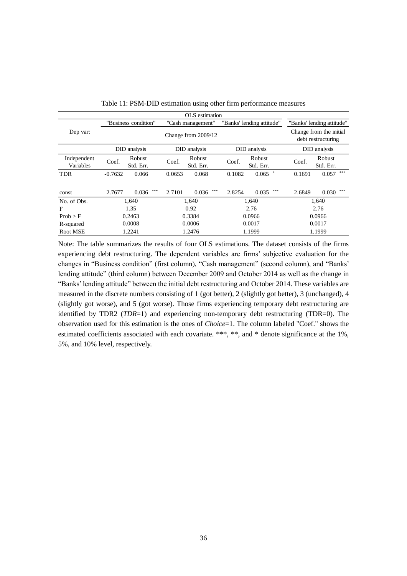|                          |                       |                     |                                                | OLS estimation      |              |                           |              |                                               |
|--------------------------|-----------------------|---------------------|------------------------------------------------|---------------------|--------------|---------------------------|--------------|-----------------------------------------------|
|                          | "Business condition"  |                     | "Banks' lending attitude"<br>"Cash management" |                     |              | "Banks' lending attitude" |              |                                               |
| Dep var:                 | Change from $2009/12$ |                     |                                                |                     |              |                           |              | Change from the initial<br>debt restructuring |
|                          | DID analysis          |                     | DID analysis                                   |                     | DID analysis |                           | DID analysis |                                               |
| Independent<br>Variables | Coef.                 | Robust<br>Std. Err. | Coef.                                          | Robust<br>Std. Err. | Coef.        | Robust<br>Std. Err.       | Coef.        | Robust<br>Std. Err.                           |
| <b>TDR</b>               | $-0.7632$             | 0.066               | 0.0653                                         | 0.068               | 0.1082       | 0.065                     | 0.1691       | ***<br>0.057                                  |
| const                    | 2.7677                | ***<br>0.036        | 2.7101                                         | ***<br>0.036        | 2.8254       | ***<br>0.035              | 2.6849       | ***<br>0.030                                  |
| No. of Obs.              | 1,640                 |                     | 1.640                                          |                     | 1,640        |                           | 1,640        |                                               |
| F                        | 1.35                  |                     | 0.92                                           |                     | 2.76         |                           | 2.76         |                                               |
| Prob > F                 | 0.2463                |                     | 0.3384                                         |                     | 0.0966       |                           |              | 0.0966                                        |
| R-squared                | 0.0008                |                     | 0.0006                                         |                     | 0.0017       |                           | 0.0017       |                                               |
| Root MSE                 | 1.2241                |                     | 1.2476                                         |                     | 1.1999       |                           |              | 1.1999                                        |

Note: The table summarizes the results of four OLS estimations. The dataset consists of the firms experiencing debt restructuring. The dependent variables are firms' subjective evaluation for the changes in "Business condition" (first column), "Cash management" (second column), and "Banks' lending attitude" (third column) between December 2009 and October 2014 as well as the change in "Banks' lending attitude" between the initial debt restructuring and October 2014. These variables are measured in the discrete numbers consisting of 1 (got better), 2 (slightly got better), 3 (unchanged), 4 (slightly got worse), and 5 (got worse). Those firms experiencing temporary debt restructuring are identified by TDR2 (*TDR*=1) and experiencing non-temporary debt restructuring (TDR=0). The observation used for this estimation is the ones of *Choice*=1. The column labeled "Coef." shows the estimated coefficients associated with each covariate. \*\*\*, \*\*, and \* denote significance at the 1%, 5%, and 10% level, respectively.